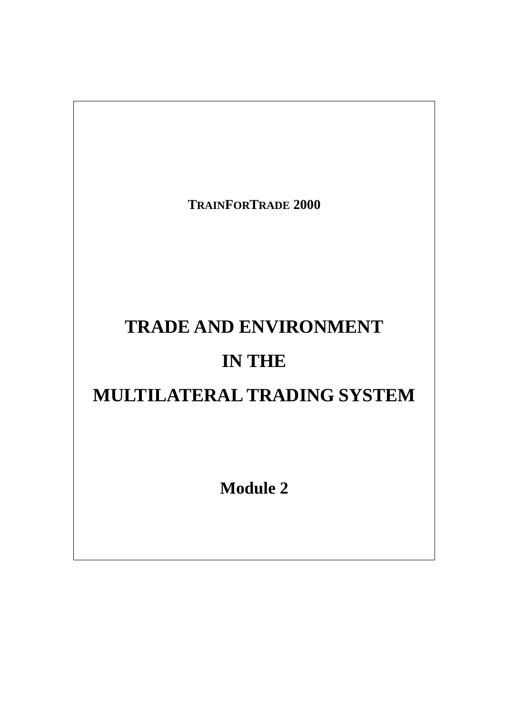**TRAINFORTRADE 2000** 

# **TRADE AND ENVIRONMENT**

# **IN THE**

# **MULTILATERAL TRADING SYSTEM**

**Module 2**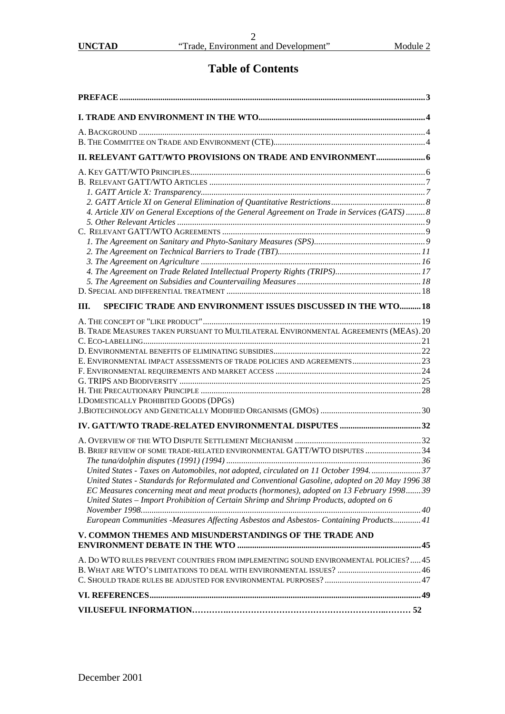# **Table of Contents**

| 4. Article XIV on General Exceptions of the General Agreement on Trade in Services (GATS)  8                                                                                                                                                                                         |  |
|--------------------------------------------------------------------------------------------------------------------------------------------------------------------------------------------------------------------------------------------------------------------------------------|--|
|                                                                                                                                                                                                                                                                                      |  |
|                                                                                                                                                                                                                                                                                      |  |
|                                                                                                                                                                                                                                                                                      |  |
|                                                                                                                                                                                                                                                                                      |  |
|                                                                                                                                                                                                                                                                                      |  |
|                                                                                                                                                                                                                                                                                      |  |
|                                                                                                                                                                                                                                                                                      |  |
|                                                                                                                                                                                                                                                                                      |  |
| SPECIFIC TRADE AND ENVIRONMENT ISSUES DISCUSSED IN THE WTO 18<br>III.                                                                                                                                                                                                                |  |
|                                                                                                                                                                                                                                                                                      |  |
| B. TRADE MEASURES TAKEN PURSUANT TO MULTILATERAL ENVIRONMENTAL AGREEMENTS (MEAS). 20                                                                                                                                                                                                 |  |
|                                                                                                                                                                                                                                                                                      |  |
|                                                                                                                                                                                                                                                                                      |  |
| E. ENVIRONMENTAL IMPACT ASSESSMENTS OF TRADE POLICIES AND AGREEMENTS 23                                                                                                                                                                                                              |  |
|                                                                                                                                                                                                                                                                                      |  |
|                                                                                                                                                                                                                                                                                      |  |
| <b>I.DOMESTICALLY PROHIBITED GOODS (DPGS)</b>                                                                                                                                                                                                                                        |  |
|                                                                                                                                                                                                                                                                                      |  |
|                                                                                                                                                                                                                                                                                      |  |
|                                                                                                                                                                                                                                                                                      |  |
| B. BRIEF REVIEW OF SOME TRADE-RELATED ENVIRONMENTAL GATT/WTO DISPUTES  34                                                                                                                                                                                                            |  |
|                                                                                                                                                                                                                                                                                      |  |
| United States - Taxes on Automobiles, not adopted, circulated on 11 October 199437                                                                                                                                                                                                   |  |
| United States - Standards for Reformulated and Conventional Gasoline, adopted on 20 May 1996 38<br>EC Measures concerning meat and meat products (hormones), adopted on 13 February 199839<br>United States - Import Prohibition of Certain Shrimp and Shrimp Products, adopted on 6 |  |
| European Communities -Measures Affecting Asbestos and Asbestos- Containing Products 41                                                                                                                                                                                               |  |
| V. COMMON THEMES AND MISUNDERSTANDINGS OF THE TRADE AND                                                                                                                                                                                                                              |  |
|                                                                                                                                                                                                                                                                                      |  |
| A. DO WTO RULES PREVENT COUNTRIES FROM IMPLEMENTING SOUND ENVIRONMENTAL POLICIES? 45                                                                                                                                                                                                 |  |
| B. WHAT ARE WTO'S LIMITATIONS TO DEAL WITH ENVIRONMENTAL ISSUES?  46                                                                                                                                                                                                                 |  |
|                                                                                                                                                                                                                                                                                      |  |
|                                                                                                                                                                                                                                                                                      |  |
|                                                                                                                                                                                                                                                                                      |  |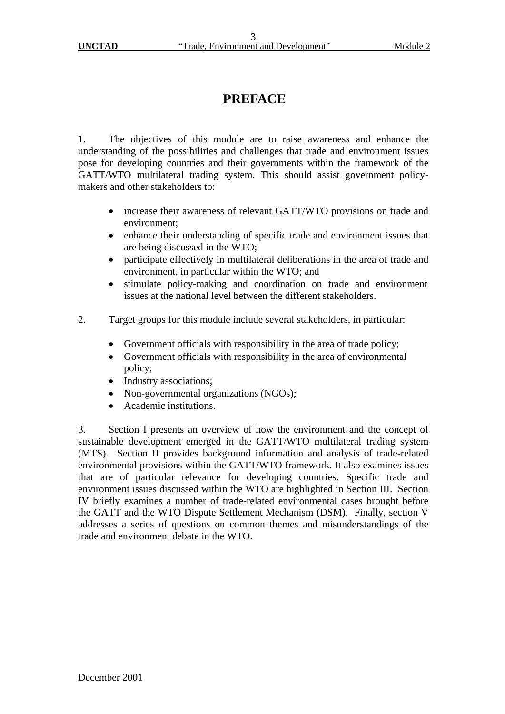# **PREFACE**

1. The objectives of this module are to raise awareness and enhance the understanding of the possibilities and challenges that trade and environment issues pose for developing countries and their governments within the framework of the GATT/WTO multilateral trading system. This should assist government policymakers and other stakeholders to:

- increase their awareness of relevant GATT/WTO provisions on trade and environment;
- enhance their understanding of specific trade and environment issues that are being discussed in the WTO;
- participate effectively in multilateral deliberations in the area of trade and environment, in particular within the WTO; and
- stimulate policy-making and coordination on trade and environment issues at the national level between the different stakeholders.
- 2. Target groups for this module include several stakeholders, in particular:
	- Government officials with responsibility in the area of trade policy;
	- Government officials with responsibility in the area of environmental policy;
	- Industry associations;
	- Non-governmental organizations (NGOs);
	- Academic institutions.

3. Section I presents an overview of how the environment and the concept of sustainable development emerged in the GATT/WTO multilateral trading system (MTS). Section II provides background information and analysis of trade-related environmental provisions within the GATT/WTO framework. It also examines issues that are of particular relevance for developing countries. Specific trade and environment issues discussed within the WTO are highlighted in Section III. Section IV briefly examines a number of trade-related environmental cases brought before the GATT and the WTO Dispute Settlement Mechanism (DSM). Finally, section V addresses a series of questions on common themes and misunderstandings of the trade and environment debate in the WTO.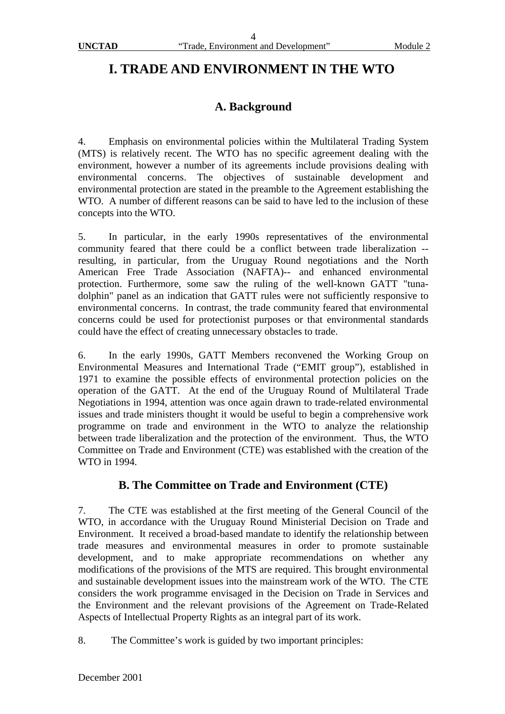# **I. TRADE AND ENVIRONMENT IN THE WTO**

# **A. Background**

4. Emphasis on environmental policies within the Multilateral Trading System (MTS) is relatively recent. The WTO has no specific agreement dealing with the environment, however a number of its agreements include provisions dealing with environmental concerns. The objectives of sustainable development and environmental protection are stated in the preamble to the Agreement establishing the WTO. A number of different reasons can be said to have led to the inclusion of these concepts into the WTO.

5. In particular, in the early 1990s representatives of the environmental community feared that there could be a conflict between trade liberalization - resulting, in particular, from the Uruguay Round negotiations and the North American Free Trade Association (NAFTA)-- and enhanced environmental protection. Furthermore, some saw the ruling of the well-known GATT "tunadolphin" panel as an indication that GATT rules were not sufficiently responsive to environmental concerns. In contrast, the trade community feared that environmental concerns could be used for protectionist purposes or that environmental standards could have the effect of creating unnecessary obstacles to trade.

6. In the early 1990s, GATT Members reconvened the Working Group on Environmental Measures and International Trade ("EMIT group"), established in 1971 to examine the possible effects of environmental protection policies on the operation of the GATT. At the end of the Uruguay Round of Multilateral Trade Negotiations in 1994, attention was once again drawn to trade-related environmental issues and trade ministers thought it would be useful to begin a comprehensive work programme on trade and environment in the WTO to analyze the relationship between trade liberalization and the protection of the environment. Thus, the WTO Committee on Trade and Environment (CTE) was established with the creation of the WTO in 1994.

# **B. The Committee on Trade and Environment (CTE)**

7. The CTE was established at the first meeting of the General Council of the WTO, in accordance with the Uruguay Round Ministerial Decision on Trade and Environment. It received a broad-based mandate to identify the relationship between trade measures and environmental measures in order to promote sustainable development, and to make appropriate recommendations on whether any modifications of the provisions of the MTS are required. This brought environmental and sustainable development issues into the mainstream work of the WTO. The CTE considers the work programme envisaged in the Decision on Trade in Services and the Environment and the relevant provisions of the Agreement on Trade-Related Aspects of Intellectual Property Rights as an integral part of its work.

8. The Committee's work is guided by two important principles: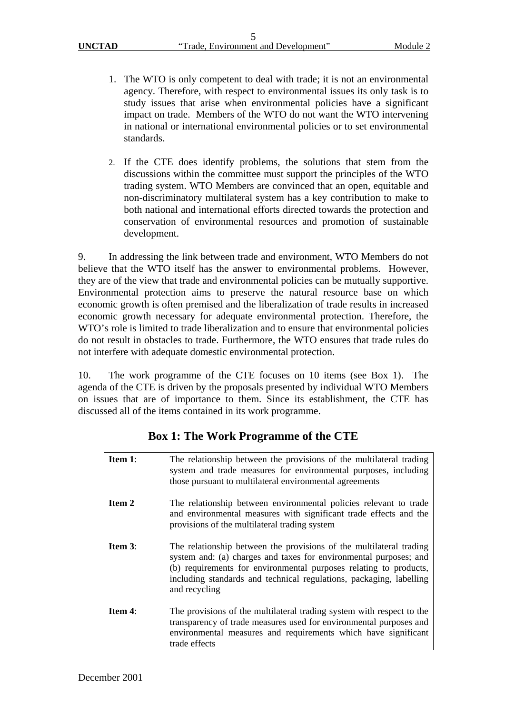- 1. The WTO is only competent to deal with trade; it is not an environmental agency. Therefore, with respect to environmental issues its only task is to study issues that arise when environmental policies have a significant impact on trade. Members of the WTO do not want the WTO intervening in national or international environmental policies or to set environmental standards.
- 2. If the CTE does identify problems, the solutions that stem from the discussions within the committee must support the principles of the WTO trading system. WTO Members are convinced that an open, equitable and non-discriminatory multilateral system has a key contribution to make to both national and international efforts directed towards the protection and conservation of environmental resources and promotion of sustainable development.

9. In addressing the link between trade and environment, WTO Members do not believe that the WTO itself has the answer to environmental problems. However, they are of the view that trade and environmental policies can be mutually supportive. Environmental protection aims to preserve the natural resource base on which economic growth is often premised and the liberalization of trade results in increased economic growth necessary for adequate environmental protection. Therefore, the WTO's role is limited to trade liberalization and to ensure that environmental policies do not result in obstacles to trade. Furthermore, the WTO ensures that trade rules do not interfere with adequate domestic environmental protection.

10. The work programme of the CTE focuses on 10 items (see Box 1). The agenda of the CTE is driven by the proposals presented by individual WTO Members on issues that are of importance to them. Since its establishment, the CTE has discussed all of the items contained in its work programme.

| Item 1:        | The relationship between the provisions of the multilateral trading<br>system and trade measures for environmental purposes, including<br>those pursuant to multilateral environmental agreements                                                                                                     |
|----------------|-------------------------------------------------------------------------------------------------------------------------------------------------------------------------------------------------------------------------------------------------------------------------------------------------------|
| Item 2         | The relationship between environmental policies relevant to trade<br>and environmental measures with significant trade effects and the<br>provisions of the multilateral trading system                                                                                                               |
| Item $3$ :     | The relationship between the provisions of the multilateral trading<br>system and: (a) charges and taxes for environmental purposes; and<br>(b) requirements for environmental purposes relating to products,<br>including standards and technical regulations, packaging, labelling<br>and recycling |
| <b>Item 4:</b> | The provisions of the multilateral trading system with respect to the<br>transparency of trade measures used for environmental purposes and<br>environmental measures and requirements which have significant<br>trade effects                                                                        |

# **Box 1: The Work Programme of the CTE**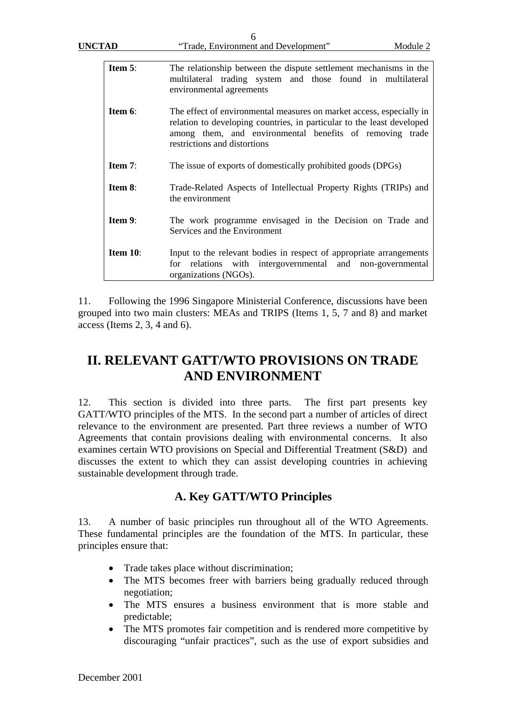| UNCTAD   | 6<br>"Trade, Environment and Development"<br>Module 2                                                                                                                                                                                      |
|----------|--------------------------------------------------------------------------------------------------------------------------------------------------------------------------------------------------------------------------------------------|
| Item 5:  | The relationship between the dispute settlement mechanisms in the<br>multilateral trading system and those found in multilateral<br>environmental agreements                                                                               |
| Item 6:  | The effect of environmental measures on market access, especially in<br>relation to developing countries, in particular to the least developed<br>among them, and environmental benefits of removing trade<br>restrictions and distortions |
| Item 7:  | The issue of exports of domestically prohibited goods (DPGs)                                                                                                                                                                               |
| Item 8:  | Trade-Related Aspects of Intellectual Property Rights (TRIPs) and<br>the environment                                                                                                                                                       |
| Item 9:  | The work programme envisaged in the Decision on Trade and<br>Services and the Environment                                                                                                                                                  |
| Item 10: | Input to the relevant bodies in respect of appropriate arrangements<br>for relations with intergovernmental and non-governmental<br>organizations (NGOs).                                                                                  |

11. Following the 1996 Singapore Ministerial Conference, discussions have been grouped into two main clusters: MEAs and TRIPS (Items 1, 5, 7 and 8) and market access (Items 2, 3, 4 and 6).

# **II. RELEVANT GATT/WTO PROVISIONS ON TRADE AND ENVIRONMENT**

12. This section is divided into three parts. The first part presents key GATT/WTO principles of the MTS. In the second part a number of articles of direct relevance to the environment are presented. Part three reviews a number of WTO Agreements that contain provisions dealing with environmental concerns. It also examines certain WTO provisions on Special and Differential Treatment (S&D) and discusses the extent to which they can assist developing countries in achieving sustainable development through trade.

# **A. Key GATT/WTO Principles**

13. A number of basic principles run throughout all of the WTO Agreements. These fundamental principles are the foundation of the MTS. In particular, these principles ensure that:

- Trade takes place without discrimination;
- The MTS becomes freer with barriers being gradually reduced through negotiation;
- The MTS ensures a business environment that is more stable and predictable;
- The MTS promotes fair competition and is rendered more competitive by discouraging "unfair practices", such as the use of export subsidies and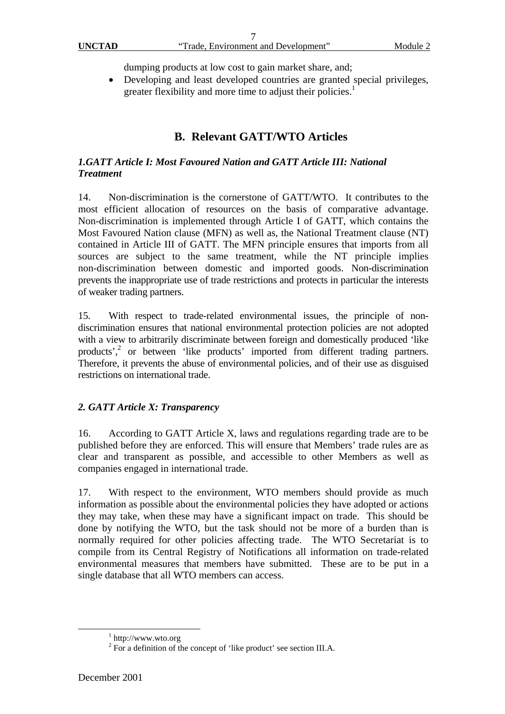dumping products at low cost to gain market share, and;

• Developing and least developed countries are granted special privileges, greater flexibility and more time to adjust their policies.<sup>1</sup>

# **B. Relevant GATT/WTO Articles**

# *1.GATT Article I: Most Favoured Nation and GATT Article III: National Treatment*

14. Non-discrimination is the cornerstone of GATT/WTO. It contributes to the most efficient allocation of resources on the basis of comparative advantage. Non-discrimination is implemented through Article I of GATT, which contains the Most Favoured Nation clause (MFN) as well as, the National Treatment clause (NT) contained in Article III of GATT. The MFN principle ensures that imports from all sources are subject to the same treatment, while the NT principle implies non-discrimination between domestic and imported goods. Non-discrimination prevents the inappropriate use of trade restrictions and protects in particular the interests of weaker trading partners.

15. With respect to trade-related environmental issues, the principle of nondiscrimination ensures that national environmental protection policies are not adopted with a view to arbitrarily discriminate between foreign and domestically produced 'like products',<sup>2</sup> or between 'like products' imported from different trading partners. Therefore, it prevents the abuse of environmental policies, and of their use as disguised restrictions on international trade.

# *2. GATT Article X: Transparency*

16. According to GATT Article X, laws and regulations regarding trade are to be published before they are enforced. This will ensure that Members' trade rules are as clear and transparent as possible, and accessible to other Members as well as companies engaged in international trade.

17. With respect to the environment, WTO members should provide as much information as possible about the environmental policies they have adopted or actions they may take, when these may have a significant impact on trade. This should be done by notifying the WTO, but the task should not be more of a burden than is normally required for other policies affecting trade. The WTO Secretariat is to compile from its Central Registry of Notifications all information on trade-related environmental measures that members have submitted. These are to be put in a single database that all WTO members can access.

<sup>&</sup>lt;u>1</u>  $1$  http://www.wto.org

 $2^2$  For a definition of the concept of 'like product' see section III.A.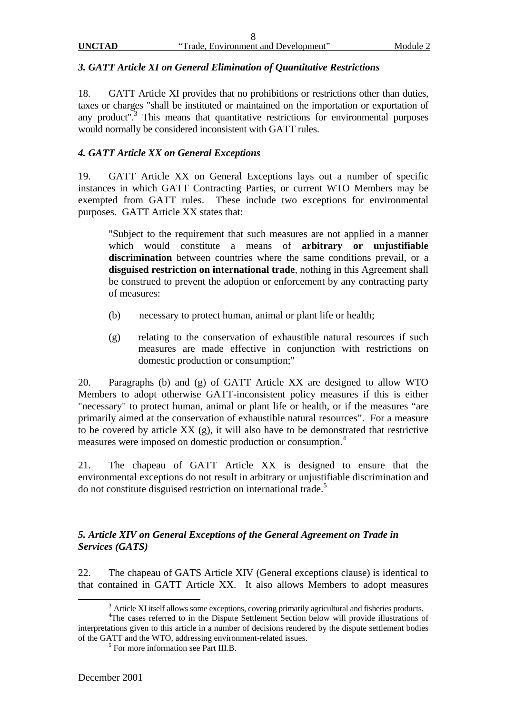### *3. GATT Article XI on General Elimination of Quantitative Restrictions*

18. GATT Article XI provides that no prohibitions or restrictions other than duties, taxes or charges "shall be instituted or maintained on the importation or exportation of any product".<sup>3</sup> This means that quantitative restrictions for environmental purposes would normally be considered inconsistent with GATT rules.

## *4. GATT Article XX on General Exceptions*

19. GATT Article XX on General Exceptions lays out a number of specific instances in which GATT Contracting Parties, or current WTO Members may be exempted from GATT rules. These include two exceptions for environmental purposes. GATT Article XX states that:

"Subject to the requirement that such measures are not applied in a manner which would constitute a means of **arbitrary or unjustifiable**  discrimination between countries where the same conditions prevail, or a **disguised restriction on international trade**, nothing in this Agreement shall be construed to prevent the adoption or enforcement by any contracting party of measures:

- (b) necessary to protect human, animal or plant life or health;
- (g) relating to the conservation of exhaustible natural resources if such measures are made effective in conjunction with restrictions on domestic production or consumption;"

20. Paragraphs (b) and (g) of GATT Article XX are designed to allow WTO Members to adopt otherwise GATT-inconsistent policy measures if this is either "necessary" to protect human, animal or plant life or health, or if the measures "are primarily aimed at the conservation of exhaustible natural resources". For a measure to be covered by article XX (g), it will also have to be demonstrated that restrictive measures were imposed on domestic production or consumption.<sup>4</sup>

21. The chapeau of GATT Article XX is designed to ensure that the environmental exceptions do not result in arbitrary or unjustifiable discrimination and do not constitute disguised restriction on international trade.<sup>5</sup>

# *5. Article XIV on General Exceptions of the General Agreement on Trade in Services (GATS)*

22. The chapeau of GATS Article XIV (General exceptions clause) is identical to that contained in GATT Article XX. It also allows Members to adopt measures

 $\frac{3}{3}$ <sup>3</sup> Article XI itself allows some exceptions, covering primarily agricultural and fisheries products.

<sup>&</sup>lt;sup>4</sup>The cases referred to in the Dispute Settlement Section below will provide illustrations of interpretations given to this article in a number of decisions rendered by the dispute settlement bodies of the GATT and the WTO, addressing environment-related issues. 5

 $<sup>5</sup>$  For more information see Part III.B.</sup>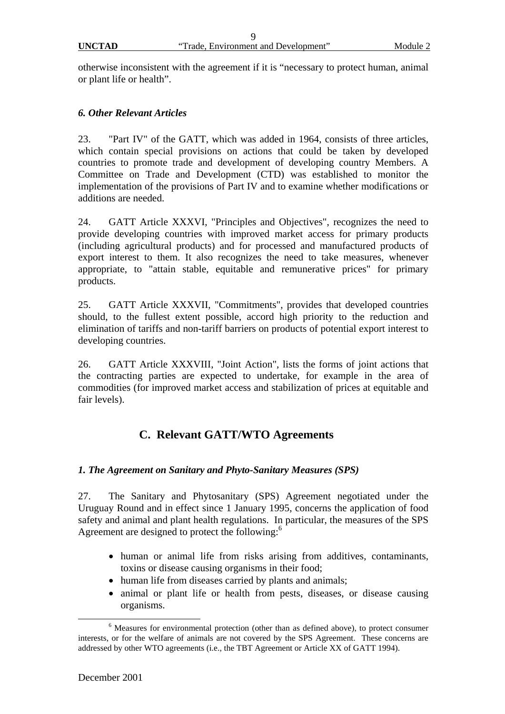otherwise inconsistent with the agreement if it is "necessary to protect human, animal or plant life or health".

### *6. Other Relevant Articles*

23. "Part IV" of the GATT, which was added in 1964, consists of three articles, which contain special provisions on actions that could be taken by developed countries to promote trade and development of developing country Members. A Committee on Trade and Development (CTD) was established to monitor the implementation of the provisions of Part IV and to examine whether modifications or additions are needed.

24. GATT Article XXXVI, "Principles and Objectives", recognizes the need to provide developing countries with improved market access for primary products (including agricultural products) and for processed and manufactured products of export interest to them. It also recognizes the need to take measures, whenever appropriate, to "attain stable, equitable and remunerative prices" for primary products.

25. GATT Article XXXVII, "Commitments", provides that developed countries should, to the fullest extent possible, accord high priority to the reduction and elimination of tariffs and non-tariff barriers on products of potential export interest to developing countries.

26. GATT Article XXXVIII, "Joint Action", lists the forms of joint actions that the contracting parties are expected to undertake, for example in the area of commodities (for improved market access and stabilization of prices at equitable and fair levels).

# **C. Relevant GATT/WTO Agreements**

### *1. The Agreement on Sanitary and Phyto-Sanitary Measures (SPS)*

27. The Sanitary and Phytosanitary (SPS) Agreement negotiated under the Uruguay Round and in effect since 1 January 1995, concerns the application of food safety and animal and plant health regulations. In particular, the measures of the SPS Agreement are designed to protect the following:<sup>6</sup>

- human or animal life from risks arising from additives, contaminants, toxins or disease causing organisms in their food;
- human life from diseases carried by plants and animals;
- animal or plant life or health from pests, diseases, or disease causing organisms.

 <sup>6</sup>  $<sup>6</sup>$  Measures for environmental protection (other than as defined above), to protect consumer</sup> interests, or for the welfare of animals are not covered by the SPS Agreement. These concerns are addressed by other WTO agreements (i.e., the TBT Agreement or Article XX of GATT 1994).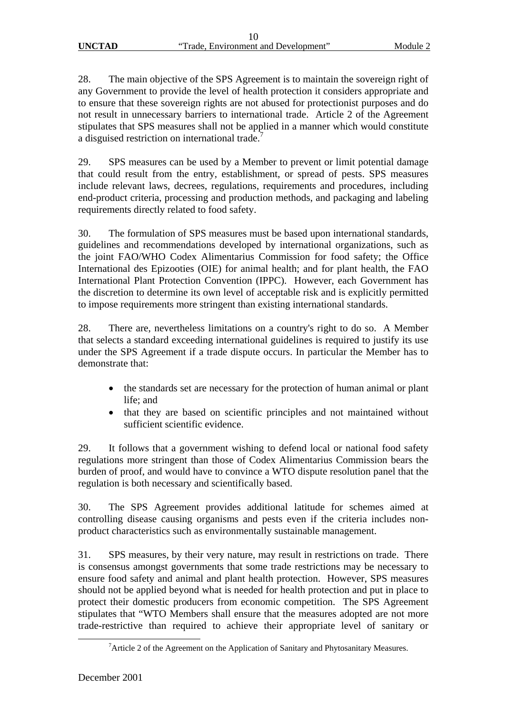| <b>UNCTAD</b> | "Trade, Environment and Development" | Module 2 |
|---------------|--------------------------------------|----------|
|               |                                      |          |

28. The main objective of the SPS Agreement is to maintain the sovereign right of any Government to provide the level of health protection it considers appropriate and to ensure that these sovereign rights are not abused for protectionist purposes and do not result in unnecessary barriers to international trade. Article 2 of the Agreement stipulates that SPS measures shall not be applied in a manner which would constitute a disguised restriction on international trade.<sup>7</sup>

29. SPS measures can be used by a Member to prevent or limit potential damage that could result from the entry, establishment, or spread of pests. SPS measures include relevant laws, decrees, regulations, requirements and procedures, including end-product criteria, processing and production methods, and packaging and labeling requirements directly related to food safety.

30. The formulation of SPS measures must be based upon international standards, guidelines and recommendations developed by international organizations, such as the joint FAO/WHO Codex Alimentarius Commission for food safety; the Office International des Epizooties (OIE) for animal health; and for plant health, the FAO International Plant Protection Convention (IPPC).However, each Government has the discretion to determine its own level of acceptable risk and is explicitly permitted to impose requirements more stringent than existing international standards.

28. There are, nevertheless limitations on a country's right to do so. A Member that selects a standard exceeding international guidelines is required to justify its use under the SPS Agreement if a trade dispute occurs. In particular the Member has to demonstrate that:

- the standards set are necessary for the protection of human animal or plant life; and
- that they are based on scientific principles and not maintained without sufficient scientific evidence.

29. It follows that a government wishing to defend local or national food safety regulations more stringent than those of Codex Alimentarius Commission bears the burden of proof, and would have to convince a WTO dispute resolution panel that the regulation is both necessary and scientifically based.

30. The SPS Agreement provides additional latitude for schemes aimed at controlling disease causing organisms and pests even if the criteria includes nonproduct characteristics such as environmentally sustainable management.

31. SPS measures, by their very nature, may result in restrictions on trade. There is consensus amongst governments that some trade restrictions may be necessary to ensure food safety and animal and plant health protection. However, SPS measures should not be applied beyond what is needed for health protection and put in place to protect their domestic producers from economic competition. The SPS Agreement stipulates that "WTO Members shall ensure that the measures adopted are not more trade-restrictive than required to achieve their appropriate level of sanitary or

 <sup>7</sup> <sup>7</sup> Article 2 of the Agreement on the Application of Sanitary and Phytosanitary Measures.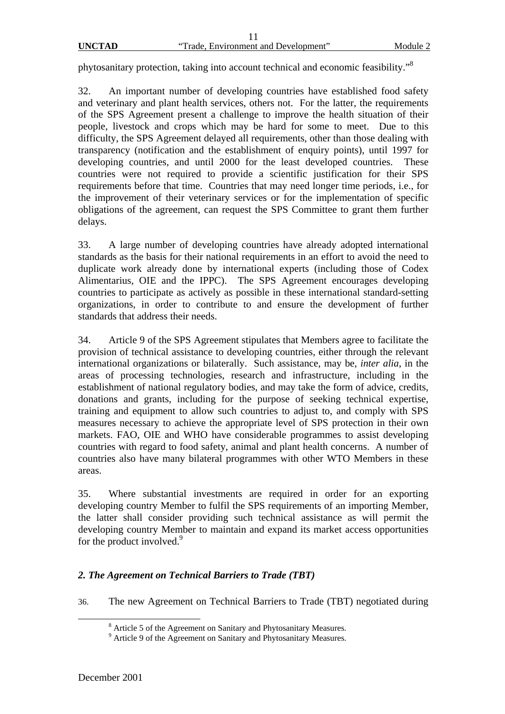| <b>UNCTAD</b> | "Trade, Environment and Development" | – Module ∠ |
|---------------|--------------------------------------|------------|

phytosanitary protection, taking into account technical and economic feasibility."<sup>8</sup>

32. An important number of developing countries have established food safety and veterinary and plant health services, others not. For the latter, the requirements of the SPS Agreement present a challenge to improve the health situation of their people, livestock and crops which may be hard for some to meet. Due to this difficulty, the SPS Agreement delayed all requirements, other than those dealing with transparency (notification and the establishment of enquiry points), until 1997 for developing countries, and until 2000 for the least developed countries. These countries were not required to provide a scientific justification for their SPS requirements before that time. Countries that may need longer time periods, i.e., for the improvement of their veterinary services or for the implementation of specific obligations of the agreement, can request the SPS Committee to grant them further delays.

33. A large number of developing countries have already adopted international standards as the basis for their national requirements in an effort to avoid the need to duplicate work already done by international experts (including those of Codex Alimentarius, OIE and the IPPC). The SPS Agreement encourages developing countries to participate as actively as possible in these international standard-setting organizations, in order to contribute to and ensure the development of further standards that address their needs.

34. Article 9 of the SPS Agreement stipulates that Members agree to facilitate the provision of technical assistance to developing countries, either through the relevant international organizations or bilaterally. Such assistance, may be, *inter alia*, in the areas of processing technologies, research and infrastructure, including in the establishment of national regulatory bodies, and may take the form of advice, credits, donations and grants, including for the purpose of seeking technical expertise, training and equipment to allow such countries to adjust to, and comply with SPS measures necessary to achieve the appropriate level of SPS protection in their own markets. FAO, OIE and WHO have considerable programmes to assist developing countries with regard to food safety, animal and plant health concerns. A number of countries also have many bilateral programmes with other WTO Members in these areas.

35. Where substantial investments are required in order for an exporting developing country Member to fulfil the SPS requirements of an importing Member, the latter shall consider providing such technical assistance as will permit the developing country Member to maintain and expand its market access opportunities for the product involved.<sup>9</sup>

# *2. The Agreement on Technical Barriers to Trade (TBT)*

36. The new Agreement on Technical Barriers to Trade (TBT) negotiated during

 <sup>8</sup> Article 5 of the Agreement on Sanitary and Phytosanitary Measures.

<sup>&</sup>lt;sup>9</sup> Article 9 of the Agreement on Sanitary and Phytosanitary Measures.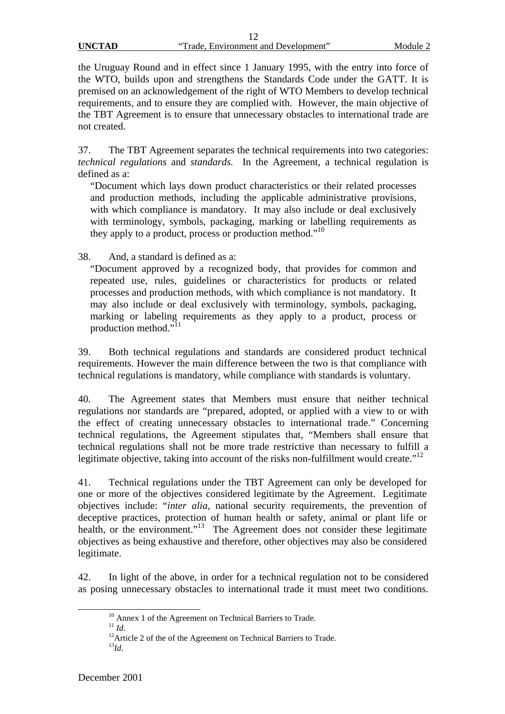| <b>UNCTAD</b> | "Trade, Environment and Development" | Module 2 |
|---------------|--------------------------------------|----------|
|               |                                      |          |

the Uruguay Round and in effect since 1 January 1995, with the entry into force of the WTO, builds upon and strengthens the Standards Code under the GATT. It is premised on an acknowledgement of the right of WTO Members to develop technical requirements, and to ensure they are complied with. However, the main objective of the TBT Agreement is to ensure that unnecessary obstacles to international trade are not created.

37. The TBT Agreement separates the technical requirements into two categories: *technical regulations* and *standards.* In the Agreement, a technical regulation is defined as a:

"Document which lays down product characteristics or their related processes and production methods, including the applicable administrative provisions, with which compliance is mandatory. It may also include or deal exclusively with terminology, symbols, packaging, marking or labelling requirements as they apply to a product, process or production method."<sup>10</sup>

38. And, a standard is defined as a:

"Document approved by a recognized body, that provides for common and repeated use, rules, guidelines or characteristics for products or related processes and production methods, with which compliance is not mandatory. It may also include or deal exclusively with terminology, symbols, packaging, marking or labeling requirements as they apply to a product, process or production method."<sup>11</sup>

39. Both technical regulations and standards are considered product technical requirements. However the main difference between the two is that compliance with technical regulations is mandatory, while compliance with standards is voluntary.

40. The Agreement states that Members must ensure that neither technical regulations nor standards are "prepared, adopted, or applied with a view to or with the effect of creating unnecessary obstacles to international trade." Concerning technical regulations, the Agreement stipulates that, "Members shall ensure that technical regulations shall not be more trade restrictive than necessary to fulfill a legitimate objective, taking into account of the risks non-fulfillment would create. $"^{12}$ 

41. Technical regulations under the TBT Agreement can only be developed for one or more of the objectives considered legitimate by the Agreement. Legitimate objectives include: "*inter alia*, national security requirements, the prevention of deceptive practices, protection of human health or safety, animal or plant life or health, or the environment."<sup>13</sup> The Agreement does not consider these legitimate objectives as being exhaustive and therefore, other objectives may also be considered legitimate.

42. In light of the above, in order for a technical regulation not to be considered as posing unnecessary obstacles to international trade it must meet two conditions.

<sup>&</sup>lt;sup>10</sup> Annex 1 of the Agreement on Technical Barriers to Trade.<br><sup>11</sup>  $U<sub>d</sub>$ 

<sup>&</sup>lt;sup>12</sup> Article 2 of the of the Agreement on Technical Barriers to Trade.  $13<sub>Id</sub>$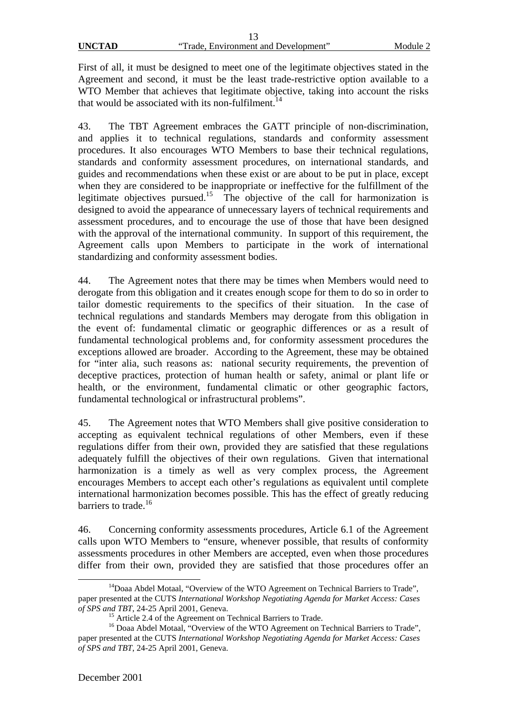| UNCTAD |  |
|--------|--|
|        |  |

First of all, it must be designed to meet one of the legitimate objectives stated in the Agreement and second, it must be the least trade-restrictive option available to a WTO Member that achieves that legitimate objective, taking into account the risks that would be associated with its non-fulfilment.<sup>14</sup>

43. The TBT Agreement embraces the GATT principle of non-discrimination, and applies it to technical regulations, standards and conformity assessment procedures. It also encourages WTO Members to base their technical regulations, standards and conformity assessment procedures, on international standards, and guides and recommendations when these exist or are about to be put in place, except when they are considered to be inappropriate or ineffective for the fulfillment of the legitimate objectives pursued.<sup>15</sup> The objective of the call for harmonization is designed to avoid the appearance of unnecessary layers of technical requirements and assessment procedures, and to encourage the use of those that have been designed with the approval of the international community. In support of this requirement, the Agreement calls upon Members to participate in the work of international standardizing and conformity assessment bodies.

44. The Agreement notes that there may be times when Members would need to derogate from this obligation and it creates enough scope for them to do so in order to tailor domestic requirements to the specifics of their situation. In the case of technical regulations and standards Members may derogate from this obligation in the event of: fundamental climatic or geographic differences or as a result of fundamental technological problems and, for conformity assessment procedures the exceptions allowed are broader. According to the Agreement, these may be obtained for "inter alia, such reasons as: national security requirements, the prevention of deceptive practices, protection of human health or safety, animal or plant life or health, or the environment, fundamental climatic or other geographic factors, fundamental technological or infrastructural problems".

45. The Agreement notes that WTO Members shall give positive consideration to accepting as equivalent technical regulations of other Members, even if these regulations differ from their own, provided they are satisfied that these regulations adequately fulfill the objectives of their own regulations. Given that international harmonization is a timely as well as very complex process, the Agreement encourages Members to accept each other's regulations as equivalent until complete international harmonization becomes possible. This has the effect of greatly reducing barriers to trade.<sup>16</sup>

46. Concerning conformity assessments procedures, Article 6.1 of the Agreement calls upon WTO Members to "ensure, whenever possible, that results of conformity assessments procedures in other Members are accepted, even when those procedures differ from their own, provided they are satisfied that those procedures offer an

<sup>&</sup>lt;sup>14</sup>Doaa Abdel Motaal, "Overview of the WTO Agreement on Technical Barriers to Trade", paper presented at the CUTS *International Workshop Negotiating Agenda for Market Access: Cases* 

<sup>&</sup>lt;sup>15</sup> Article 2.4 of the Agreement on Technical Barriers to Trade.<br><sup>16</sup> Doaa Abdel Motaal, "Overview of the WTO Agreement on Technical Barriers to Trade", paper presented at the CUTS *International Workshop Negotiating Agenda for Market Access: Cases of SPS and TBT*, 24-25 April 2001, Geneva.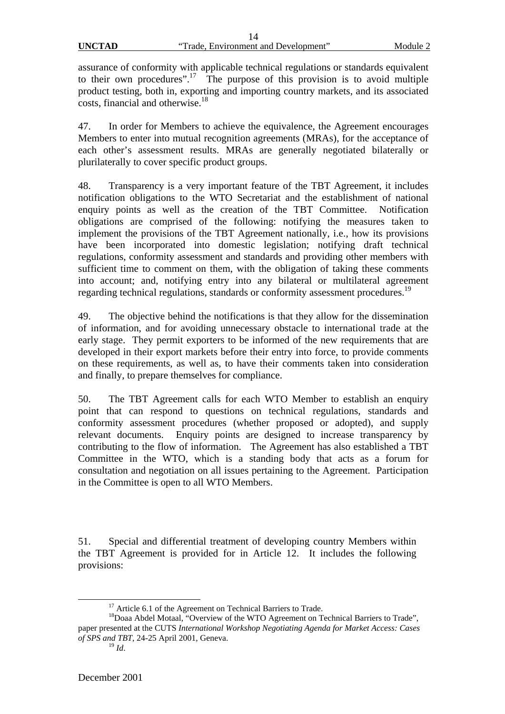| <b>UNCTAD</b> | "Trade, Environment and Development" | Module 2 |
|---------------|--------------------------------------|----------|

assurance of conformity with applicable technical regulations or standards equivalent to their own procedures".<sup>17</sup> The purpose of this provision is to avoid multiple product testing, both in, exporting and importing country markets, and its associated costs, financial and otherwise.18

47. In order for Members to achieve the equivalence, the Agreement encourages Members to enter into mutual recognition agreements (MRAs), for the acceptance of each other's assessment results. MRAs are generally negotiated bilaterally or plurilaterally to cover specific product groups.

48. Transparency is a very important feature of the TBT Agreement, it includes notification obligations to the WTO Secretariat and the establishment of national enquiry points as well as the creation of the TBT Committee. Notification obligations are comprised of the following: notifying the measures taken to implement the provisions of the TBT Agreement nationally, i.e., how its provisions have been incorporated into domestic legislation; notifying draft technical regulations, conformity assessment and standards and providing other members with sufficient time to comment on them, with the obligation of taking these comments into account; and, notifying entry into any bilateral or multilateral agreement regarding technical regulations, standards or conformity assessment procedures.<sup>19</sup>

49. The objective behind the notifications is that they allow for the dissemination of information, and for avoiding unnecessary obstacle to international trade at the early stage. They permit exporters to be informed of the new requirements that are developed in their export markets before their entry into force, to provide comments on these requirements, as well as, to have their comments taken into consideration and finally, to prepare themselves for compliance.

50. The TBT Agreement calls for each WTO Member to establish an enquiry point that can respond to questions on technical regulations, standards and conformity assessment procedures (whether proposed or adopted), and supply relevant documents. Enquiry points are designed to increase transparency by contributing to the flow of information. The Agreement has also established a TBT Committee in the WTO, which is a standing body that acts as a forum for consultation and negotiation on all issues pertaining to the Agreement. Participation in the Committee is open to all WTO Members.

51. Special and differential treatment of developing country Members within the TBT Agreement is provided for in Article 12. It includes the following provisions:

<sup>19</sup> *Id*.

<sup>&</sup>lt;sup>17</sup> Article 6.1 of the Agreement on Technical Barriers to Trade.<br><sup>18</sup>Doaa Abdel Motaal, "Overview of the WTO Agreement on Technical Barriers to Trade", paper presented at the CUTS *International Workshop Negotiating Agenda for Market Access: Cases of SPS and TBT*, 24-25 April 2001, Geneva.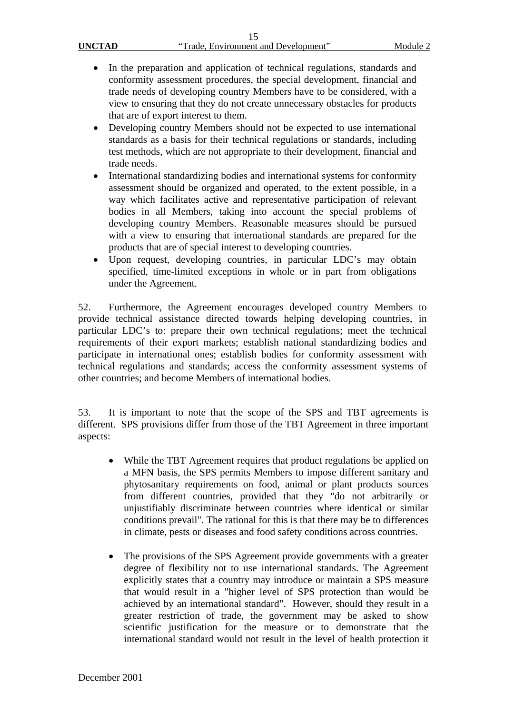| <b>UNCTAD</b> | "Trade, Environment and Development" | Module 2 |
|---------------|--------------------------------------|----------|
|               |                                      |          |

- In the preparation and application of technical regulations, standards and conformity assessment procedures, the special development, financial and trade needs of developing country Members have to be considered, with a view to ensuring that they do not create unnecessary obstacles for products that are of export interest to them.
- Developing country Members should not be expected to use international standards as a basis for their technical regulations or standards, including test methods, which are not appropriate to their development, financial and trade needs.
- International standardizing bodies and international systems for conformity assessment should be organized and operated, to the extent possible, in a way which facilitates active and representative participation of relevant bodies in all Members, taking into account the special problems of developing country Members. Reasonable measures should be pursued with a view to ensuring that international standards are prepared for the products that are of special interest to developing countries.
- Upon request, developing countries, in particular LDC's may obtain specified, time-limited exceptions in whole or in part from obligations under the Agreement.

52. Furthermore, the Agreement encourages developed country Members to provide technical assistance directed towards helping developing countries, in particular LDC's to: prepare their own technical regulations; meet the technical requirements of their export markets; establish national standardizing bodies and participate in international ones; establish bodies for conformity assessment with technical regulations and standards; access the conformity assessment systems of other countries; and become Members of international bodies.

53. It is important to note that the scope of the SPS and TBT agreements is different. SPS provisions differ from those of the TBT Agreement in three important aspects:

- While the TBT Agreement requires that product regulations be applied on a MFN basis, the SPS permits Members to impose different sanitary and phytosanitary requirements on food, animal or plant products sources from different countries, provided that they "do not arbitrarily or unjustifiably discriminate between countries where identical or similar conditions prevail". The rational for this is that there may be to differences in climate, pests or diseases and food safety conditions across countries.
- The provisions of the SPS Agreement provide governments with a greater degree of flexibility not to use international standards. The Agreement explicitly states that a country may introduce or maintain a SPS measure that would result in a "higher level of SPS protection than would be achieved by an international standard". However, should they result in a greater restriction of trade, the government may be asked to show scientific justification for the measure or to demonstrate that the international standard would not result in the level of health protection it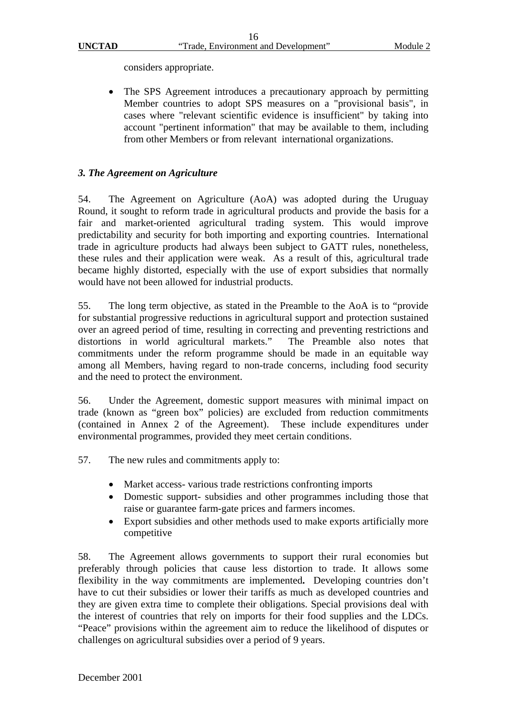considers appropriate.

The SPS Agreement introduces a precautionary approach by permitting Member countries to adopt SPS measures on a "provisional basis", in cases where "relevant scientific evidence is insufficient" by taking into account "pertinent information" that may be available to them, including from other Members or from relevant international organizations.

# *3. The Agreement on Agriculture*

54. The Agreement on Agriculture (AoA) was adopted during the Uruguay Round, it sought to reform trade in agricultural products and provide the basis for a fair and market-oriented agricultural trading system. This would improve predictability and security for both importing and exporting countries. International trade in agriculture products had always been subject to GATT rules, nonetheless, these rules and their application were weak. As a result of this, agricultural trade became highly distorted, especially with the use of export subsidies that normally would have not been allowed for industrial products.

55. The long term objective, as stated in the Preamble to the AoA is to "provide for substantial progressive reductions in agricultural support and protection sustained over an agreed period of time, resulting in correcting and preventing restrictions and distortions in world agricultural markets." The Preamble also notes that commitments under the reform programme should be made in an equitable way among all Members, having regard to non-trade concerns, including food security and the need to protect the environment.

56. Under the Agreement, domestic support measures with minimal impact on trade (known as "green box" policies) are excluded from reduction commitments (contained in Annex 2 of the Agreement). These include expenditures under environmental programmes, provided they meet certain conditions.

57. The new rules and commitments apply to:

- Market access-various trade restrictions confronting imports
- Domestic support- subsidies and other programmes including those that raise or guarantee farm-gate prices and farmers incomes.
- Export subsidies and other methods used to make exports artificially more competitive

58. The Agreement allows governments to support their rural economies but preferably through policies that cause less distortion to trade. It allows some flexibility in the way commitments are implemented**.** Developing countries don't have to cut their subsidies or lower their tariffs as much as developed countries and they are given extra time to complete their obligations. Special provisions deal with the interest of countries that rely on imports for their food supplies and the LDCs. "Peace" provisions within the agreement aim to reduce the likelihood of disputes or challenges on agricultural subsidies over a period of 9 years.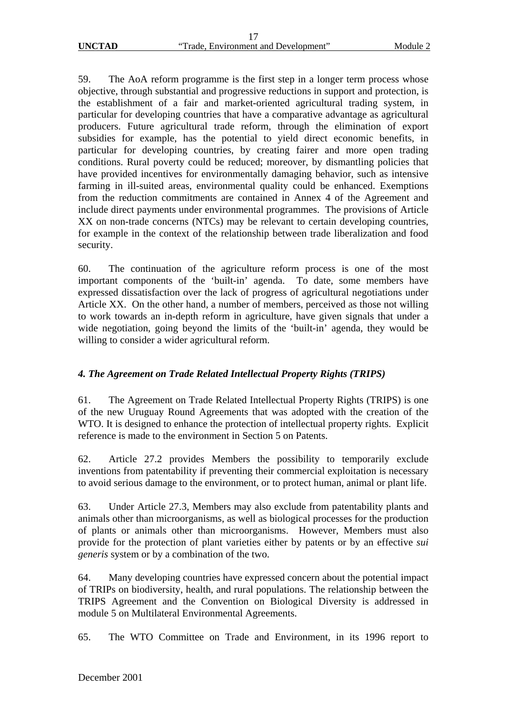| UNCTAD | "Trade, Environment and Development" | Module 2 |
|--------|--------------------------------------|----------|
|        |                                      |          |

59. The AoA reform programme is the first step in a longer term process whose objective, through substantial and progressive reductions in support and protection, is the establishment of a fair and market-oriented agricultural trading system, in particular for developing countries that have a comparative advantage as agricultural producers. Future agricultural trade reform, through the elimination of export subsidies for example, has the potential to yield direct economic benefits, in particular for developing countries, by creating fairer and more open trading conditions. Rural poverty could be reduced; moreover, by dismantling policies that have provided incentives for environmentally damaging behavior, such as intensive farming in ill-suited areas, environmental quality could be enhanced. Exemptions from the reduction commitments are contained in Annex 4 of the Agreement and include direct payments under environmental programmes. The provisions of Article XX on non-trade concerns (NTCs) may be relevant to certain developing countries, for example in the context of the relationship between trade liberalization and food security.

60. The continuation of the agriculture reform process is one of the most important components of the 'built-in' agenda. To date, some members have expressed dissatisfaction over the lack of progress of agricultural negotiations under Article XX. On the other hand, a number of members, perceived as those not willing to work towards an in-depth reform in agriculture, have given signals that under a wide negotiation, going beyond the limits of the 'built-in' agenda, they would be willing to consider a wider agricultural reform.

# *4. The Agreement on Trade Related Intellectual Property Rights (TRIPS)*

61. The Agreement on Trade Related Intellectual Property Rights (TRIPS) is one of the new Uruguay Round Agreements that was adopted with the creation of the WTO. It is designed to enhance the protection of intellectual property rights. Explicit reference is made to the environment in Section 5 on Patents.

62. Article 27.2 provides Members the possibility to temporarily exclude inventions from patentability if preventing their commercial exploitation is necessary to avoid serious damage to the environment, or to protect human, animal or plant life.

63. Under Article 27.3, Members may also exclude from patentability plants and animals other than microorganisms, as well as biological processes for the production of plants or animals other than microorganisms. However, Members must also provide for the protection of plant varieties either by patents or by an effective *sui generis* system or by a combination of the two.

64. Many developing countries have expressed concern about the potential impact of TRIPs on biodiversity, health, and rural populations. The relationship between the TRIPS Agreement and the Convention on Biological Diversity is addressed in module 5 on Multilateral Environmental Agreements.

65. The WTO Committee on Trade and Environment, in its 1996 report to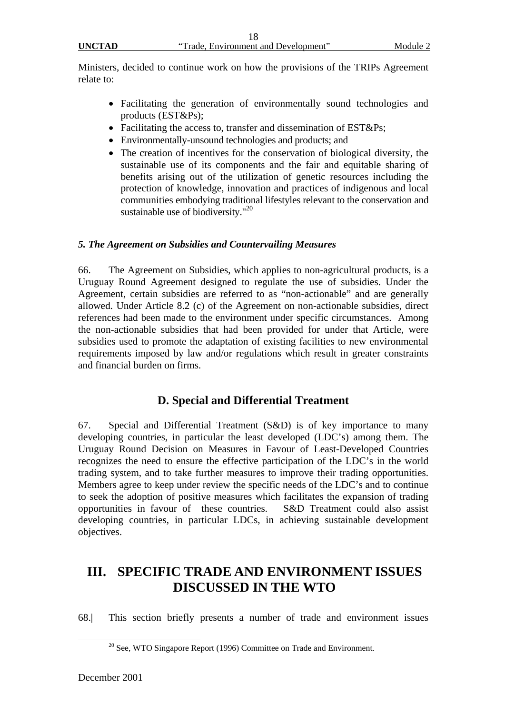Ministers, decided to continue work on how the provisions of the TRIPs Agreement relate to:

- Facilitating the generation of environmentally sound technologies and products (EST&Ps);
- Facilitating the access to, transfer and dissemination of EST&Ps:
- Environmentally-unsound technologies and products; and
- The creation of incentives for the conservation of biological diversity, the sustainable use of its components and the fair and equitable sharing of benefits arising out of the utilization of genetic resources including the protection of knowledge, innovation and practices of indigenous and local communities embodying traditional lifestyles relevant to the conservation and sustainable use of biodiversity."<sup>20</sup>

# *5. The Agreement on Subsidies and Countervailing Measures*

66. The Agreement on Subsidies, which applies to non-agricultural products, is a Uruguay Round Agreement designed to regulate the use of subsidies. Under the Agreement, certain subsidies are referred to as "non-actionable" and are generally allowed. Under Article 8.2 (c) of the Agreement on non-actionable subsidies, direct references had been made to the environment under specific circumstances. Among the non-actionable subsidies that had been provided for under that Article, were subsidies used to promote the adaptation of existing facilities to new environmental requirements imposed by law and/or regulations which result in greater constraints and financial burden on firms.

# **D. Special and Differential Treatment**

67. Special and Differential Treatment (S&D) is of key importance to many developing countries, in particular the least developed (LDC's) among them. The Uruguay Round Decision on Measures in Favour of Least-Developed Countries recognizes the need to ensure the effective participation of the LDC's in the world trading system, and to take further measures to improve their trading opportunities. Members agree to keep under review the specific needs of the LDC's and to continue to seek the adoption of positive measures which facilitates the expansion of trading opportunities in favour of these countries. S&D Treatment could also assist developing countries, in particular LDCs, in achieving sustainable development objectives.

# **III. SPECIFIC TRADE AND ENVIRONMENT ISSUES DISCUSSED IN THE WTO**

68.| This section briefly presents a number of trade and environment issues

 $20$  See, WTO Singapore Report (1996) Committee on Trade and Environment.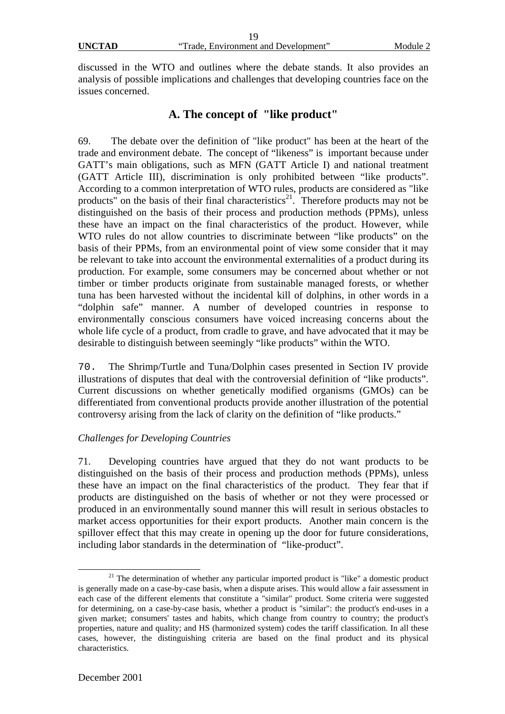discussed in the WTO and outlines where the debate stands. It also provides an analysis of possible implications and challenges that developing countries face on the issues concerned.

# **A. The concept of "like product"**

69. The debate over the definition of "like product" has been at the heart of the trade and environment debate. The concept of "likeness" is important because under GATT's main obligations, such as MFN (GATT Article I) and national treatment (GATT Article III), discrimination is only prohibited between "like products". According to a common interpretation of WTO rules, products are considered as "like products" on the basis of their final characteristics $21$ . Therefore products may not be distinguished on the basis of their process and production methods (PPMs), unless these have an impact on the final characteristics of the product. However, while WTO rules do not allow countries to discriminate between "like products" on the basis of their PPMs, from an environmental point of view some consider that it may be relevant to take into account the environmental externalities of a product during its production. For example, some consumers may be concerned about whether or not timber or timber products originate from sustainable managed forests, or whether tuna has been harvested without the incidental kill of dolphins, in other words in a "dolphin safe" manner. A number of developed countries in response to environmentally conscious consumers have voiced increasing concerns about the whole life cycle of a product, from cradle to grave, and have advocated that it may be desirable to distinguish between seemingly "like products" within the WTO.

70. The Shrimp/Turtle and Tuna/Dolphin cases presented in Section IV provide illustrations of disputes that deal with the controversial definition of "like products". Current discussions on whether genetically modified organisms (GMOs) can be differentiated from conventional products provide another illustration of the potential controversy arising from the lack of clarity on the definition of "like products."

### *Challenges for Developing Countries*

71. Developing countries have argued that they do not want products to be distinguished on the basis of their process and production methods (PPMs), unless these have an impact on the final characteristics of the product. They fear that if products are distinguished on the basis of whether or not they were processed or produced in an environmentally sound manner this will result in serious obstacles to market access opportunities for their export products. Another main concern is the spillover effect that this may create in opening up the door for future considerations, including labor standards in the determination of "like-product".

 $21$  The determination of whether any particular imported product is "like" a domestic product is generally made on a case-by-case basis, when a dispute arises. This would allow a fair assessment in each case of the different elements that constitute a "similar" product. Some criteria were suggested for determining, on a case-by-case basis, whether a product is "similar": the product's end-uses in a given market; consumers' tastes and habits, which change from country to country; the product's properties, nature and quality; and HS (harmonized system) codes the tariff classification. In all these cases, however, the distinguishing criteria are based on the final product and its physical characteristics.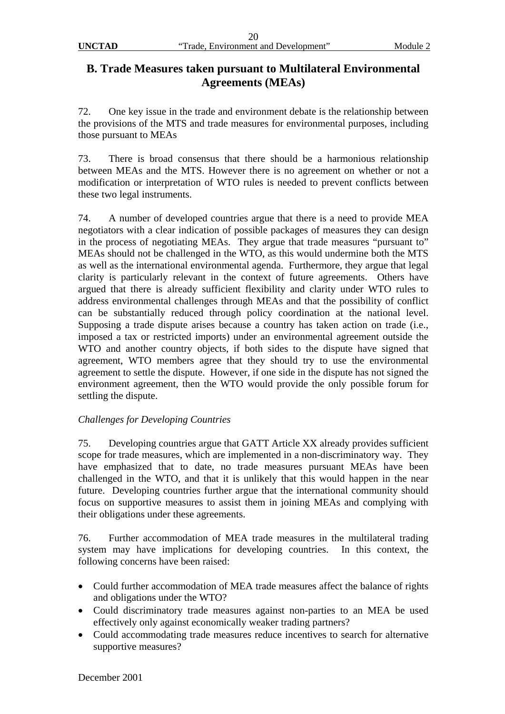# **B. Trade Measures taken pursuant to Multilateral Environmental Agreements (MEAs)**

72. One key issue in the trade and environment debate is the relationship between the provisions of the MTS and trade measures for environmental purposes, including those pursuant to MEAs

73. There is broad consensus that there should be a harmonious relationship between MEAs and the MTS. However there is no agreement on whether or not a modification or interpretation of WTO rules is needed to prevent conflicts between these two legal instruments.

74. A number of developed countries argue that there is a need to provide MEA negotiators with a clear indication of possible packages of measures they can design in the process of negotiating MEAs. They argue that trade measures "pursuant to" MEAs should not be challenged in the WTO, as this would undermine both the MTS as well as the international environmental agenda. Furthermore, they argue that legal clarity is particularly relevant in the context of future agreements. Others have argued that there is already sufficient flexibility and clarity under WTO rules to address environmental challenges through MEAs and that the possibility of conflict can be substantially reduced through policy coordination at the national level. Supposing a trade dispute arises because a country has taken action on trade (i.e., imposed a tax or restricted imports) under an environmental agreement outside the WTO and another country objects, if both sides to the dispute have signed that agreement, WTO members agree that they should try to use the environmental agreement to settle the dispute. However, if one side in the dispute has not signed the environment agreement, then the WTO would provide the only possible forum for settling the dispute.

# *Challenges for Developing Countries*

75. Developing countries argue that GATT Article XX already provides sufficient scope for trade measures, which are implemented in a non-discriminatory way. They have emphasized that to date, no trade measures pursuant MEAs have been challenged in the WTO, and that it is unlikely that this would happen in the near future. Developing countries further argue that the international community should focus on supportive measures to assist them in joining MEAs and complying with their obligations under these agreements.

76. Further accommodation of MEA trade measures in the multilateral trading system may have implications for developing countries. In this context, the following concerns have been raised:

- Could further accommodation of MEA trade measures affect the balance of rights and obligations under the WTO?
- Could discriminatory trade measures against non-parties to an MEA be used effectively only against economically weaker trading partners?
- Could accommodating trade measures reduce incentives to search for alternative supportive measures?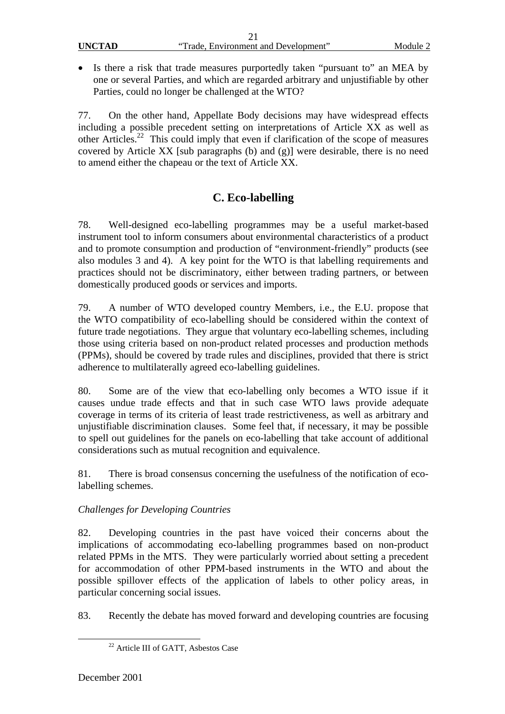| UNCTAD |  |
|--------|--|

Is there a risk that trade measures purportedly taken "pursuant to" an MEA by one or several Parties, and which are regarded arbitrary and unjustifiable by other Parties, could no longer be challenged at the WTO?

77. On the other hand, Appellate Body decisions may have widespread effects including a possible precedent setting on interpretations of Article XX as well as other Articles.22 This could imply that even if clarification of the scope of measures covered by Article XX [sub paragraphs (b) and (g)] were desirable, there is no need to amend either the chapeau or the text of Article XX.

# **C. Eco-labelling**

78. Well-designed eco-labelling programmes may be a useful market-based instrument tool to inform consumers about environmental characteristics of a product and to promote consumption and production of "environment-friendly" products (see also modules 3 and 4). A key point for the WTO is that labelling requirements and practices should not be discriminatory, either between trading partners, or between domestically produced goods or services and imports.

79. A number of WTO developed country Members, i.e., the E.U. propose that the WTO compatibility of eco-labelling should be considered within the context of future trade negotiations. They argue that voluntary eco-labelling schemes, including those using criteria based on non-product related processes and production methods (PPMs), should be covered by trade rules and disciplines, provided that there is strict adherence to multilaterally agreed eco-labelling guidelines.

80. Some are of the view that eco-labelling only becomes a WTO issue if it causes undue trade effects and that in such case WTO laws provide adequate coverage in terms of its criteria of least trade restrictiveness, as well as arbitrary and unjustifiable discrimination clauses. Some feel that, if necessary, it may be possible to spell out guidelines for the panels on eco-labelling that take account of additional considerations such as mutual recognition and equivalence.

81. There is broad consensus concerning the usefulness of the notification of ecolabelling schemes.

# *Challenges for Developing Countries*

82. Developing countries in the past have voiced their concerns about the implications of accommodating eco-labelling programmes based on non-product related PPMs in the MTS. They were particularly worried about setting a precedent for accommodation of other PPM-based instruments in the WTO and about the possible spillover effects of the application of labels to other policy areas, in particular concerning social issues.

83. Recently the debate has moved forward and developing countries are focusing

<sup>&</sup>lt;sup>22</sup> Article III of GATT, Asbestos Case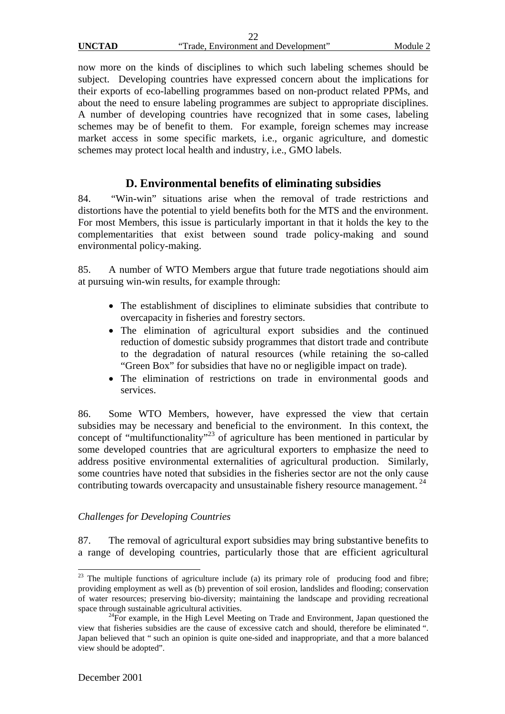| <b>UNCTAD</b> | "Trade, Environment and Development" | Module 2 |
|---------------|--------------------------------------|----------|

now more on the kinds of disciplines to which such labeling schemes should be subject. Developing countries have expressed concern about the implications for their exports of eco-labelling programmes based on non-product related PPMs, and about the need to ensure labeling programmes are subject to appropriate disciplines. A number of developing countries have recognized that in some cases, labeling schemes may be of benefit to them. For example, foreign schemes may increase market access in some specific markets, i.e., organic agriculture, and domestic schemes may protect local health and industry, i.e., GMO labels.

# **D. Environmental benefits of eliminating subsidies**

84. "Win-win" situations arise when the removal of trade restrictions and distortions have the potential to yield benefits both for the MTS and the environment. For most Members, this issue is particularly important in that it holds the key to the complementarities that exist between sound trade policy-making and sound environmental policy-making.

85. A number of WTO Members argue that future trade negotiations should aim at pursuing win-win results, for example through:

- The establishment of disciplines to eliminate subsidies that contribute to overcapacity in fisheries and forestry sectors.
- The elimination of agricultural export subsidies and the continued reduction of domestic subsidy programmes that distort trade and contribute to the degradation of natural resources (while retaining the so-called "Green Box" for subsidies that have no or negligible impact on trade).
- The elimination of restrictions on trade in environmental goods and services.

86. Some WTO Members, however, have expressed the view that certain subsidies may be necessary and beneficial to the environment. In this context, the concept of "multifunctionality"23 of agriculture has been mentioned in particular by some developed countries that are agricultural exporters to emphasize the need to address positive environmental externalities of agricultural production. Similarly, some countries have noted that subsidies in the fisheries sector are not the only cause contributing towards overcapacity and unsustainable fishery resource management.<sup>24</sup>

### *Challenges for Developing Countries*

87. The removal of agricultural export subsidies may bring substantive benefits to a range of developing countries, particularly those that are efficient agricultural

l

<sup>&</sup>lt;sup>23</sup> The multiple functions of agriculture include (a) its primary role of producing food and fibre; providing employment as well as (b) prevention of soil erosion, landslides and flooding; conservation of water resources; preserving bio-diversity; maintaining the landscape and providing recreational

 $24$ For example, in the High Level Meeting on Trade and Environment, Japan questioned the view that fisheries subsidies are the cause of excessive catch and should, therefore be eliminated ". Japan believed that " such an opinion is quite one-sided and inappropriate, and that a more balanced view should be adopted".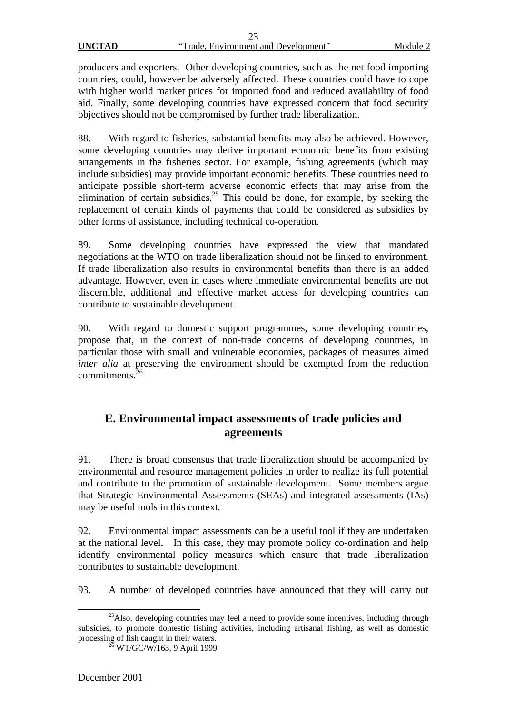| <b>UNCTAD</b> | "Trade, Environment and Development" | Module 2 |
|---------------|--------------------------------------|----------|

producers and exporters. Other developing countries, such as the net food importing countries, could, however be adversely affected. These countries could have to cope with higher world market prices for imported food and reduced availability of food aid. Finally, some developing countries have expressed concern that food security objectives should not be compromised by further trade liberalization.

88. With regard to fisheries, substantial benefits may also be achieved. However, some developing countries may derive important economic benefits from existing arrangements in the fisheries sector. For example, fishing agreements (which may include subsidies) may provide important economic benefits. These countries need to anticipate possible short-term adverse economic effects that may arise from the elimination of certain subsidies.<sup>25</sup> This could be done, for example, by seeking the replacement of certain kinds of payments that could be considered as subsidies by other forms of assistance, including technical co-operation.

89. Some developing countries have expressed the view that mandated negotiations at the WTO on trade liberalization should not be linked to environment. If trade liberalization also results in environmental benefits than there is an added advantage. However, even in cases where immediate environmental benefits are not discernible, additional and effective market access for developing countries can contribute to sustainable development.

90. With regard to domestic support programmes, some developing countries, propose that, in the context of non-trade concerns of developing countries, in particular those with small and vulnerable economies, packages of measures aimed *inter alia* at preserving the environment should be exempted from the reduction commitments.26

# **E. Environmental impact assessments of trade policies and agreements**

91. There is broad consensus that trade liberalization should be accompanied by environmental and resource management policies in order to realize its full potential and contribute to the promotion of sustainable development. Some members argue that Strategic Environmental Assessments (SEAs) and integrated assessments (IAs) may be useful tools in this context.

92. Environmental impact assessments can be a useful tool if they are undertaken at the national level**.** In this case**,** they may promote policy co-ordination and help identify environmental policy measures which ensure that trade liberalization contributes to sustainable development.

93. A number of developed countries have announced that they will carry out

 $^{25}$ Also, developing countries may feel a need to provide some incentives, including through subsidies, to promote domestic fishing activities, including artisanal fishing, as well as domestic processing of fish caught in their waters.<br><sup>26</sup> WT/GC/W/163, 9 April 1999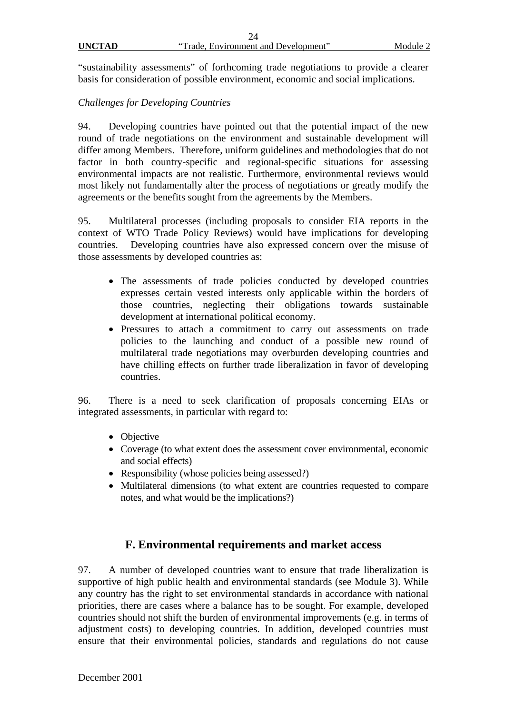"sustainability assessments" of forthcoming trade negotiations to provide a clearer basis for consideration of possible environment, economic and social implications.

# *Challenges for Developing Countries*

94. Developing countries have pointed out that the potential impact of the new round of trade negotiations on the environment and sustainable development will differ among Members. Therefore, uniform guidelines and methodologies that do not factor in both country-specific and regional-specific situations for assessing environmental impacts are not realistic. Furthermore, environmental reviews would most likely not fundamentally alter the process of negotiations or greatly modify the agreements or the benefits sought from the agreements by the Members.

95. Multilateral processes (including proposals to consider EIA reports in the context of WTO Trade Policy Reviews) would have implications for developing countries. Developing countries have also expressed concern over the misuse of those assessments by developed countries as:

- The assessments of trade policies conducted by developed countries expresses certain vested interests only applicable within the borders of those countries, neglecting their obligations towards sustainable development at international political economy.
- Pressures to attach a commitment to carry out assessments on trade policies to the launching and conduct of a possible new round of multilateral trade negotiations may overburden developing countries and have chilling effects on further trade liberalization in favor of developing countries.

96. There is a need to seek clarification of proposals concerning EIAs or integrated assessments, in particular with regard to:

- Objective
- Coverage (to what extent does the assessment cover environmental, economic and social effects)
- Responsibility (whose policies being assessed?)
- Multilateral dimensions (to what extent are countries requested to compare notes, and what would be the implications?)

# **F. Environmental requirements and market access**

97. A number of developed countries want to ensure that trade liberalization is supportive of high public health and environmental standards (see Module 3). While any country has the right to set environmental standards in accordance with national priorities, there are cases where a balance has to be sought. For example, developed countries should not shift the burden of environmental improvements (e.g. in terms of adjustment costs) to developing countries. In addition, developed countries must ensure that their environmental policies, standards and regulations do not cause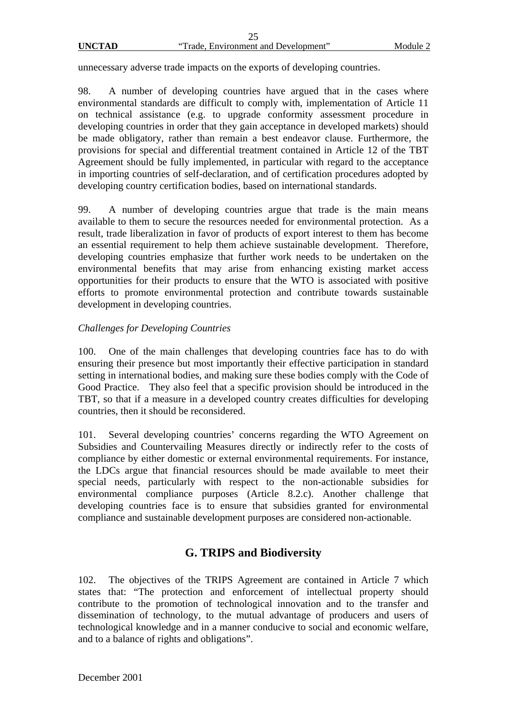| <b>UNCTAD</b> | "Trade, Environment and Development" | Module 2 |
|---------------|--------------------------------------|----------|

unnecessary adverse trade impacts on the exports of developing countries.

98. A number of developing countries have argued that in the cases where environmental standards are difficult to comply with, implementation of Article 11 on technical assistance (e.g. to upgrade conformity assessment procedure in developing countries in order that they gain acceptance in developed markets) should be made obligatory, rather than remain a best endeavor clause. Furthermore, the provisions for special and differential treatment contained in Article 12 of the TBT Agreement should be fully implemented, in particular with regard to the acceptance in importing countries of self-declaration, and of certification procedures adopted by developing country certification bodies, based on international standards.

99. A number of developing countries argue that trade is the main means available to them to secure the resources needed for environmental protection. As a result, trade liberalization in favor of products of export interest to them has become an essential requirement to help them achieve sustainable development. Therefore, developing countries emphasize that further work needs to be undertaken on the environmental benefits that may arise from enhancing existing market access opportunities for their products to ensure that the WTO is associated with positive efforts to promote environmental protection and contribute towards sustainable development in developing countries.

## *Challenges for Developing Countries*

100. One of the main challenges that developing countries face has to do with ensuring their presence but most importantly their effective participation in standard setting in international bodies, and making sure these bodies comply with the Code of Good Practice. They also feel that a specific provision should be introduced in the TBT, so that if a measure in a developed country creates difficulties for developing countries, then it should be reconsidered.

101. Several developing countries' concerns regarding the WTO Agreement on Subsidies and Countervailing Measures directly or indirectly refer to the costs of compliance by either domestic or external environmental requirements. For instance, the LDCs argue that financial resources should be made available to meet their special needs, particularly with respect to the non-actionable subsidies for environmental compliance purposes (Article 8.2.c). Another challenge that developing countries face is to ensure that subsidies granted for environmental compliance and sustainable development purposes are considered non-actionable.

# **G. TRIPS and Biodiversity**

102. The objectives of the TRIPS Agreement are contained in Article 7 which states that: "The protection and enforcement of intellectual property should contribute to the promotion of technological innovation and to the transfer and dissemination of technology, to the mutual advantage of producers and users of technological knowledge and in a manner conducive to social and economic welfare, and to a balance of rights and obligations".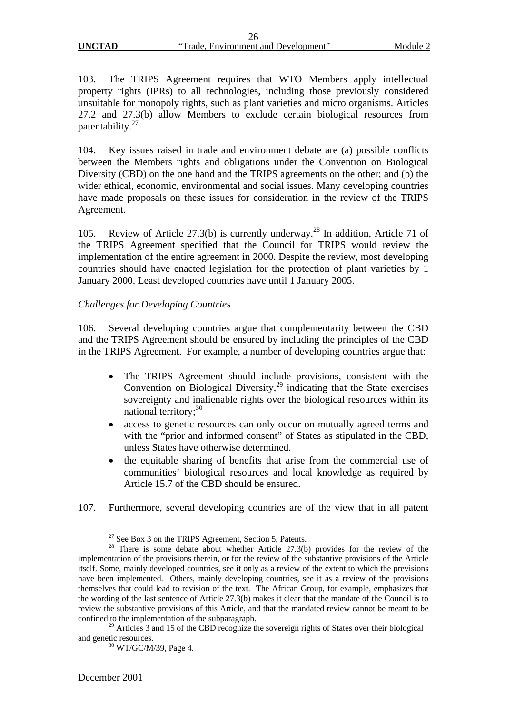103. The TRIPS Agreement requires that WTO Members apply intellectual property rights (IPRs) to all technologies, including those previously considered unsuitable for monopoly rights, such as plant varieties and micro organisms. Articles 27.2 and 27.3(b) allow Members to exclude certain biological resources from patentability.27

104. Key issues raised in trade and environment debate are (a) possible conflicts between the Members rights and obligations under the Convention on Biological Diversity (CBD) on the one hand and the TRIPS agreements on the other; and (b) the wider ethical, economic, environmental and social issues. Many developing countries have made proposals on these issues for consideration in the review of the TRIPS Agreement.

105. Review of Article 27.3(b) is currently underway.<sup>28</sup> In addition, Article 71 of the TRIPS Agreement specified that the Council for TRIPS would review the implementation of the entire agreement in 2000. Despite the review, most developing countries should have enacted legislation for the protection of plant varieties by 1 January 2000. Least developed countries have until 1 January 2005.

### *Challenges for Developing Countries*

106. Several developing countries argue that complementarity between the CBD and the TRIPS Agreement should be ensured by including the principles of the CBD in the TRIPS Agreement. For example, a number of developing countries argue that:

- The TRIPS Agreement should include provisions, consistent with the Convention on Biological Diversity,<sup>29</sup> indicating that the State exercises sovereignty and inalienable rights over the biological resources within its national territory; $30$
- access to genetic resources can only occur on mutually agreed terms and with the "prior and informed consent" of States as stipulated in the CBD, unless States have otherwise determined.
- the equitable sharing of benefits that arise from the commercial use of communities' biological resources and local knowledge as required by Article 15.7 of the CBD should be ensured.
- 107. Furthermore, several developing countries are of the view that in all patent

 $27$  See Box 3 on the TRIPS Agreement, Section 5, Patents.

<sup>&</sup>lt;sup>28</sup> There is some debate about whether Article 27.3(b) provides for the review of the implementation of the provisions therein, or for the review of the substantive provisions of the Article itself. Some, mainly developed countries, see it only as a review of the extent to which the previsions have been implemented. Others, mainly developing countries, see it as a review of the provisions themselves that could lead to revision of the text. The African Group, for example, emphasizes that the wording of the last sentence of Article 27.3(b) makes it clear that the mandate of the Council is to review the substantive provisions of this Article, and that the mandated review cannot be meant to be confined to the implementation of the subparagraph.

<sup>&</sup>lt;sup>29</sup> Articles 3 and 15 of the CBD recognize the sovereign rights of States over their biological and genetic resources.<br><sup>30</sup> WT/GC/M/39, Page 4.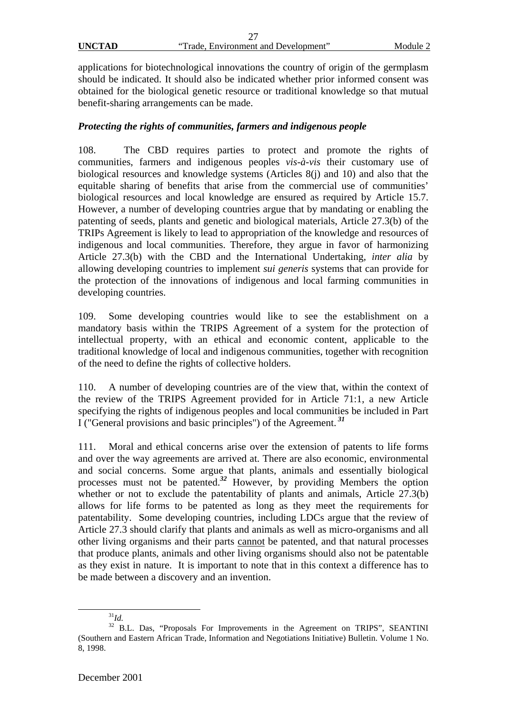| UNCTAD |  |
|--------|--|

applications for biotechnological innovations the country of origin of the germplasm should be indicated. It should also be indicated whether prior informed consent was obtained for the biological genetic resource or traditional knowledge so that mutual benefit-sharing arrangements can be made.

### *Protecting the rights of communities, farmers and indigenous people*

108. The CBD requires parties to protect and promote the rights of communities, farmers and indigenous peoples *vis-à-vis* their customary use of biological resources and knowledge systems (Articles 8(j) and 10) and also that the equitable sharing of benefits that arise from the commercial use of communities' biological resources and local knowledge are ensured as required by Article 15.7. However, a number of developing countries argue that by mandating or enabling the patenting of seeds, plants and genetic and biological materials, Article 27.3(b) of the TRIPs Agreement is likely to lead to appropriation of the knowledge and resources of indigenous and local communities. Therefore, they argue in favor of harmonizing Article 27.3(b) with the CBD and the International Undertaking, *inter alia* by allowing developing countries to implement *sui generis* systems that can provide for the protection of the innovations of indigenous and local farming communities in developing countries.

109. Some developing countries would like to see the establishment on a mandatory basis within the TRIPS Agreement of a system for the protection of intellectual property, with an ethical and economic content, applicable to the traditional knowledge of local and indigenous communities, together with recognition of the need to define the rights of collective holders.

110. A number of developing countries are of the view that, within the context of the review of the TRIPS Agreement provided for in Article 71:1, a new Article specifying the rights of indigenous peoples and local communities be included in Part I ("General provisions and basic principles") of the Agreement.*<sup>31</sup>*

111. Moral and ethical concerns arise over the extension of patents to life forms and over the way agreements are arrived at. There are also economic, environmental and social concerns. Some argue that plants, animals and essentially biological processes must not be patented.*<sup>32</sup>* However, by providing Members the option whether or not to exclude the patentability of plants and animals, Article 27.3(b) allows for life forms to be patented as long as they meet the requirements for patentability. Some developing countries, including LDCs argue that the review of Article 27.3 should clarify that plants and animals as well as micro-organisms and all other living organisms and their parts cannot be patented, and that natural processes that produce plants, animals and other living organisms should also not be patentable as they exist in nature. It is important to note that in this context a difference has to be made between a discovery and an invention.

 <sup>31</sup>*Id.*

<sup>&</sup>lt;sup>32</sup> B.L. Das, "Proposals For Improvements in the Agreement on TRIPS", SEANTINI (Southern and Eastern African Trade, Information and Negotiations Initiative) Bulletin. Volume 1 No. 8, 1998.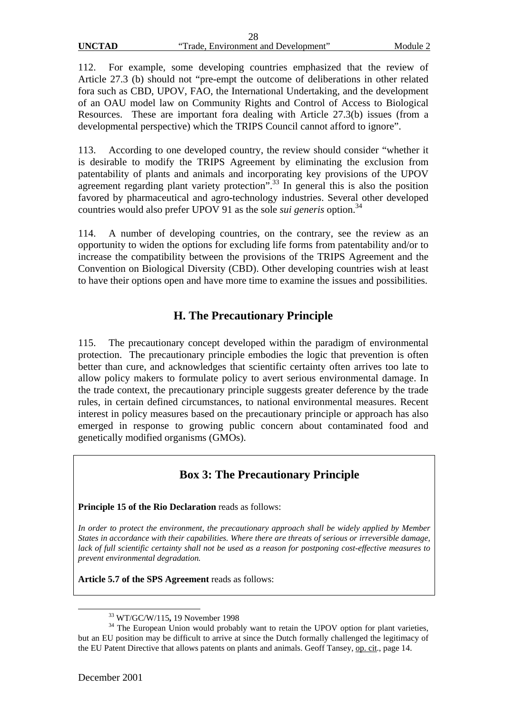| <b>UNCTAD</b> | "Trade, Environment and Development" | Module 2 |
|---------------|--------------------------------------|----------|

112. For example, some developing countries emphasized that the review of Article 27.3 (b) should not "pre-empt the outcome of deliberations in other related fora such as CBD, UPOV, FAO, the International Undertaking, and the development of an OAU model law on Community Rights and Control of Access to Biological Resources. These are important fora dealing with Article 27.3(b) issues (from a developmental perspective) which the TRIPS Council cannot afford to ignore".

113. According to one developed country, the review should consider "whether it is desirable to modify the TRIPS Agreement by eliminating the exclusion from patentability of plants and animals and incorporating key provisions of the UPOV agreement regarding plant variety protection".<sup>33</sup> In general this is also the position favored by pharmaceutical and agro-technology industries. Several other developed countries would also prefer UPOV 91 as the sole *sui generis* option.<sup>34</sup>

114. A number of developing countries, on the contrary, see the review as an opportunity to widen the options for excluding life forms from patentability and/or to increase the compatibility between the provisions of the TRIPS Agreement and the Convention on Biological Diversity (CBD). Other developing countries wish at least to have their options open and have more time to examine the issues and possibilities.

# **H. The Precautionary Principle**

115. The precautionary concept developed within the paradigm of environmental protection. The precautionary principle embodies the logic that prevention is often better than cure, and acknowledges that scientific certainty often arrives too late to allow policy makers to formulate policy to avert serious environmental damage. In the trade context, the precautionary principle suggests greater deference by the trade rules, in certain defined circumstances, to national environmental measures. Recent interest in policy measures based on the precautionary principle or approach has also emerged in response to growing public concern about contaminated food and genetically modified organisms (GMOs).

# **Box 3: The Precautionary Principle**

**Principle 15 of the Rio Declaration** reads as follows:

*In order to protect the environment, the precautionary approach shall be widely applied by Member States in accordance with their capabilities. Where there are threats of serious or irreversible damage, lack of full scientific certainty shall not be used as a reason for postponing cost-effective measures to prevent environmental degradation.* 

**Article 5.7 of the SPS Agreement** reads as follows:

<sup>&</sup>lt;sup>33</sup> WT/GC/W/115, 19 November 1998<br><sup>34</sup> The European Union would probably want to retain the UPOV option for plant varieties, but an EU position may be difficult to arrive at since the Dutch formally challenged the legitimacy of the EU Patent Directive that allows patents on plants and animals. Geoff Tansey, op. cit., page 14.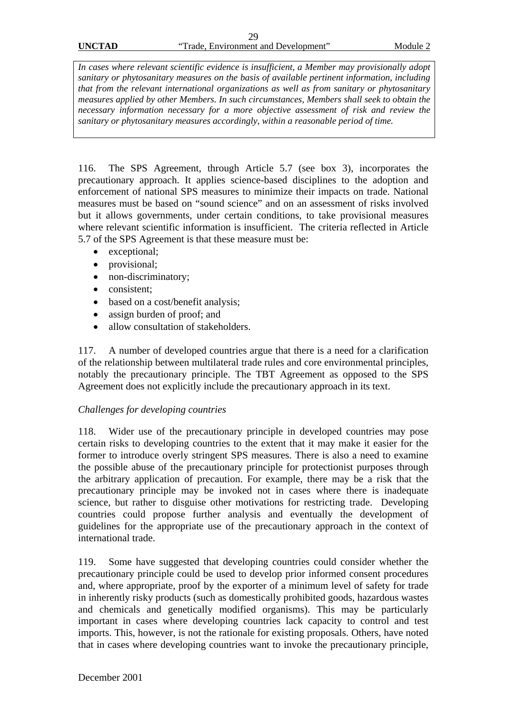*In cases where relevant scientific evidence is insufficient, a Member may provisionally adopt sanitary or phytosanitary measures on the basis of available pertinent information, including that from the relevant international organizations as well as from sanitary or phytosanitary measures applied by other Members. In such circumstances, Members shall seek to obtain the necessary information necessary for a more objective assessment of risk and review the sanitary or phytosanitary measures accordingly, within a reasonable period of time.*

116. The SPS Agreement, through Article 5.7 (see box 3), incorporates the precautionary approach. It applies science-based disciplines to the adoption and enforcement of national SPS measures to minimize their impacts on trade. National measures must be based on "sound science" and on an assessment of risks involved but it allows governments, under certain conditions, to take provisional measures where relevant scientific information is insufficient. The criteria reflected in Article 5.7 of the SPS Agreement is that these measure must be:

- exceptional;
- provisional;
- non-discriminatory;
- consistent;
- based on a cost/benefit analysis;
- assign burden of proof; and
- allow consultation of stakeholders.

117. A number of developed countries argue that there is a need for a clarification of the relationship between multilateral trade rules and core environmental principles, notably the precautionary principle. The TBT Agreement as opposed to the SPS Agreement does not explicitly include the precautionary approach in its text.

# *Challenges for developing countries*

118. Wider use of the precautionary principle in developed countries may pose certain risks to developing countries to the extent that it may make it easier for the former to introduce overly stringent SPS measures. There is also a need to examine the possible abuse of the precautionary principle for protectionist purposes through the arbitrary application of precaution. For example, there may be a risk that the precautionary principle may be invoked not in cases where there is inadequate science, but rather to disguise other motivations for restricting trade. Developing countries could propose further analysis and eventually the development of guidelines for the appropriate use of the precautionary approach in the context of international trade.

119. Some have suggested that developing countries could consider whether the precautionary principle could be used to develop prior informed consent procedures and, where appropriate, proof by the exporter of a minimum level of safety for trade in inherently risky products (such as domestically prohibited goods, hazardous wastes and chemicals and genetically modified organisms). This may be particularly important in cases where developing countries lack capacity to control and test imports. This, however, is not the rationale for existing proposals. Others, have noted that in cases where developing countries want to invoke the precautionary principle,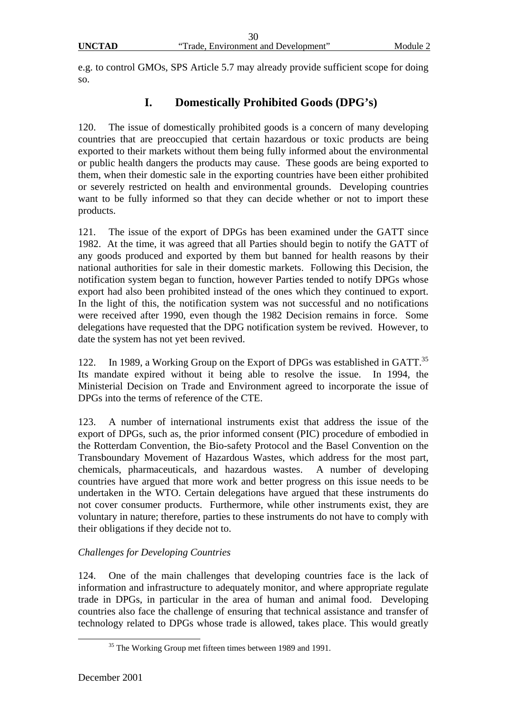e.g. to control GMOs, SPS Article 5.7 may already provide sufficient scope for doing so.

# **I. Domestically Prohibited Goods (DPG's)**

120. The issue of domestically prohibited goods is a concern of many developing countries that are preoccupied that certain hazardous or toxic products are being exported to their markets without them being fully informed about the environmental or public health dangers the products may cause. These goods are being exported to them, when their domestic sale in the exporting countries have been either prohibited or severely restricted on health and environmental grounds. Developing countries want to be fully informed so that they can decide whether or not to import these products.

121. The issue of the export of DPGs has been examined under the GATT since 1982. At the time, it was agreed that all Parties should begin to notify the GATT of any goods produced and exported by them but banned for health reasons by their national authorities for sale in their domestic markets. Following this Decision, the notification system began to function, however Parties tended to notify DPGs whose export had also been prohibited instead of the ones which they continued to export. In the light of this, the notification system was not successful and no notifications were received after 1990, even though the 1982 Decision remains in force. Some delegations have requested that the DPG notification system be revived. However, to date the system has not yet been revived.

122. In 1989, a Working Group on the Export of DPGs was established in GATT.<sup>35</sup> Its mandate expired without it being able to resolve the issue. In 1994, the Ministerial Decision on Trade and Environment agreed to incorporate the issue of DPGs into the terms of reference of the CTE.

123. A number of international instruments exist that address the issue of the export of DPGs, such as, the prior informed consent (PIC) procedure of embodied in the Rotterdam Convention, the Bio-safety Protocol and the Basel Convention on the Transboundary Movement of Hazardous Wastes, which address for the most part, chemicals, pharmaceuticals, and hazardous wastes. A number of developing countries have argued that more work and better progress on this issue needs to be undertaken in the WTO. Certain delegations have argued that these instruments do not cover consumer products. Furthermore, while other instruments exist, they are voluntary in nature; therefore, parties to these instruments do not have to comply with their obligations if they decide not to.

# *Challenges for Developing Countries*

124. One of the main challenges that developing countries face is the lack of information and infrastructure to adequately monitor, and where appropriate regulate trade in DPGs, in particular in the area of human and animal food. Developing countries also face the challenge of ensuring that technical assistance and transfer of technology related to DPGs whose trade is allowed, takes place. This would greatly

<sup>&</sup>lt;sup>35</sup> The Working Group met fifteen times between 1989 and 1991.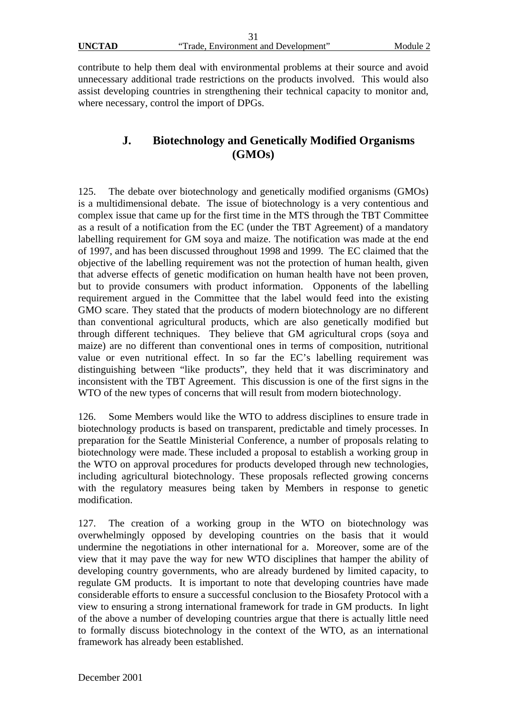contribute to help them deal with environmental problems at their source and avoid unnecessary additional trade restrictions on the products involved. This would also assist developing countries in strengthening their technical capacity to monitor and, where necessary, control the import of DPGs.

# **J. Biotechnology and Genetically Modified Organisms (GMOs)**

125. The debate over biotechnology and genetically modified organisms (GMOs) is a multidimensional debate. The issue of biotechnology is a very contentious and complex issue that came up for the first time in the MTS through the TBT Committee as a result of a notification from the EC (under the TBT Agreement) of a mandatory labelling requirement for GM soya and maize. The notification was made at the end of 1997, and has been discussed throughout 1998 and 1999. The EC claimed that the objective of the labelling requirement was not the protection of human health, given that adverse effects of genetic modification on human health have not been proven, but to provide consumers with product information. Opponents of the labelling requirement argued in the Committee that the label would feed into the existing GMO scare. They stated that the products of modern biotechnology are no different than conventional agricultural products, which are also genetically modified but through different techniques. They believe that GM agricultural crops (soya and maize) are no different than conventional ones in terms of composition, nutritional value or even nutritional effect. In so far the EC's labelling requirement was distinguishing between "like products", they held that it was discriminatory and inconsistent with the TBT Agreement. This discussion is one of the first signs in the WTO of the new types of concerns that will result from modern biotechnology.

126. Some Members would like the WTO to address disciplines to ensure trade in biotechnology products is based on transparent, predictable and timely processes. In preparation for the Seattle Ministerial Conference, a number of proposals relating to biotechnology were made. These included a proposal to establish a working group in the WTO on approval procedures for products developed through new technologies, including agricultural biotechnology. These proposals reflected growing concerns with the regulatory measures being taken by Members in response to genetic modification.

127. The creation of a working group in the WTO on biotechnology was overwhelmingly opposed by developing countries on the basis that it would undermine the negotiations in other international for a. Moreover, some are of the view that it may pave the way for new WTO disciplines that hamper the ability of developing country governments, who are already burdened by limited capacity, to regulate GM products. It is important to note that developing countries have made considerable efforts to ensure a successful conclusion to the Biosafety Protocol with a view to ensuring a strong international framework for trade in GM products. In light of the above a number of developing countries argue that there is actually little need to formally discuss biotechnology in the context of the WTO, as an international framework has already been established.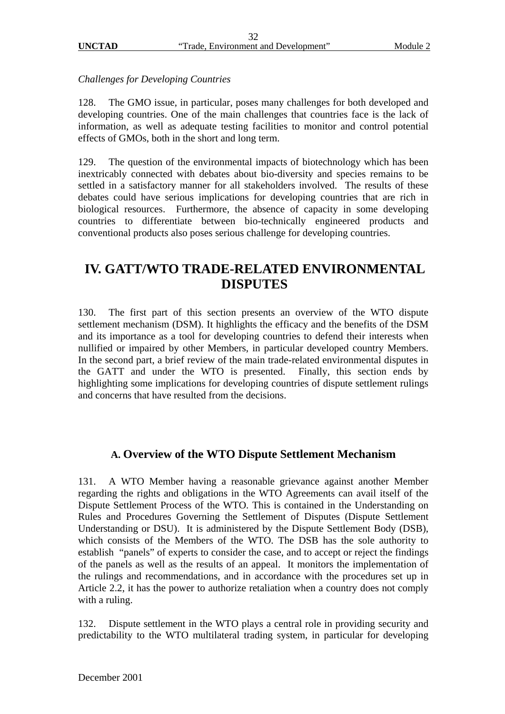# *Challenges for Developing Countries*

128. The GMO issue, in particular, poses many challenges for both developed and developing countries. One of the main challenges that countries face is the lack of information, as well as adequate testing facilities to monitor and control potential effects of GMOs, both in the short and long term.

129. The question of the environmental impacts of biotechnology which has been inextricably connected with debates about bio-diversity and species remains to be settled in a satisfactory manner for all stakeholders involved. The results of these debates could have serious implications for developing countries that are rich in biological resources. Furthermore, the absence of capacity in some developing countries to differentiate between bio-technically engineered products and conventional products also poses serious challenge for developing countries.

# **IV. GATT/WTO TRADE-RELATED ENVIRONMENTAL DISPUTES**

130. The first part of this section presents an overview of the WTO dispute settlement mechanism (DSM). It highlights the efficacy and the benefits of the DSM and its importance as a tool for developing countries to defend their interests when nullified or impaired by other Members, in particular developed country Members. In the second part, a brief review of the main trade-related environmental disputes in the GATT and under the WTO is presented. Finally, this section ends by highlighting some implications for developing countries of dispute settlement rulings and concerns that have resulted from the decisions.

# **A. Overview of the WTO Dispute Settlement Mechanism**

131. A WTO Member having a reasonable grievance against another Member regarding the rights and obligations in the WTO Agreements can avail itself of the Dispute Settlement Process of the WTO. This is contained in the Understanding on Rules and Procedures Governing the Settlement of Disputes (Dispute Settlement Understanding or DSU). It is administered by the Dispute Settlement Body (DSB), which consists of the Members of the WTO. The DSB has the sole authority to establish "panels" of experts to consider the case, and to accept or reject the findings of the panels as well as the results of an appeal. It monitors the implementation of the rulings and recommendations, and in accordance with the procedures set up in Article 2.2, it has the power to authorize retaliation when a country does not comply with a ruling.

132. Dispute settlement in the WTO plays a central role in providing security and predictability to the WTO multilateral trading system, in particular for developing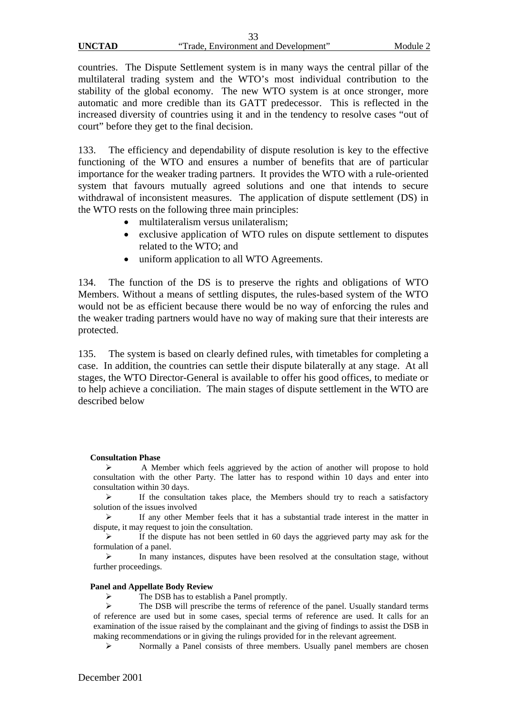| <b>UNCTAD</b> | "Trade, Environment and Development" | Module 2 |
|---------------|--------------------------------------|----------|

countries. The Dispute Settlement system is in many ways the central pillar of the multilateral trading system and the WTO's most individual contribution to the stability of the global economy. The new WTO system is at once stronger, more automatic and more credible than its GATT predecessor. This is reflected in the increased diversity of countries using it and in the tendency to resolve cases "out of court" before they get to the final decision.

133. The efficiency and dependability of dispute resolution is key to the effective functioning of the WTO and ensures a number of benefits that are of particular importance for the weaker trading partners. It provides the WTO with a rule-oriented system that favours mutually agreed solutions and one that intends to secure withdrawal of inconsistent measures. The application of dispute settlement (DS) in the WTO rests on the following three main principles:

- multilateralism versus unilateralism;
- exclusive application of WTO rules on dispute settlement to disputes related to the WTO; and
- uniform application to all WTO Agreements.

134. The function of the DS is to preserve the rights and obligations of WTO Members. Without a means of settling disputes, the rules-based system of the WTO would not be as efficient because there would be no way of enforcing the rules and the weaker trading partners would have no way of making sure that their interests are protected.

135. The system is based on clearly defined rules, with timetables for completing a case. In addition, the countries can settle their dispute bilaterally at any stage. At all stages, the WTO Director-General is available to offer his good offices, to mediate or to help achieve a conciliation. The main stages of dispute settlement in the WTO are described below

#### **Consultation Phase**

¾ A Member which feels aggrieved by the action of another will propose to hold consultation with the other Party. The latter has to respond within 10 days and enter into consultation within 30 days.

 $\triangleright$  If the consultation takes place, the Members should try to reach a satisfactory solution of the issues involved

 $\triangleright$  If any other Member feels that it has a substantial trade interest in the matter in dispute, it may request to join the consultation.

¾ If the dispute has not been settled in 60 days the aggrieved party may ask for the formulation of a panel.

 $\blacktriangleright$  In many instances, disputes have been resolved at the consultation stage, without further proceedings.

#### **Panel and Appellate Body Review**

¾ The DSB has to establish a Panel promptly.

¾ The DSB will prescribe the terms of reference of the panel. Usually standard terms of reference are used but in some cases, special terms of reference are used. It calls for an examination of the issue raised by the complainant and the giving of findings to assist the DSB in making recommendations or in giving the rulings provided for in the relevant agreement.

¾ Normally a Panel consists of three members. Usually panel members are chosen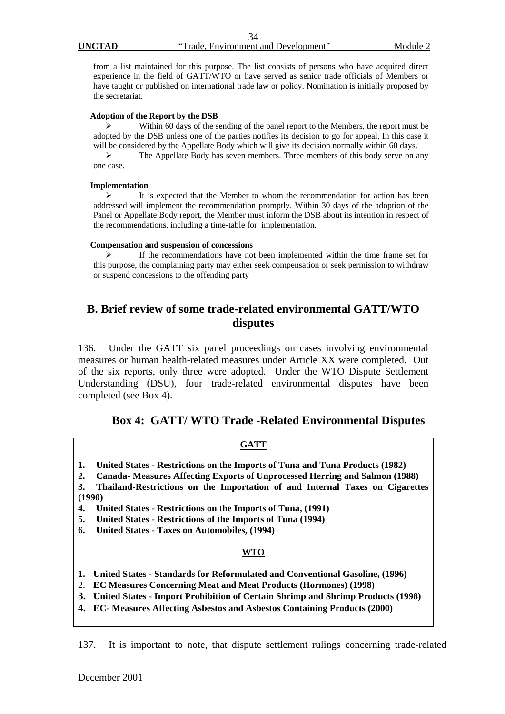from a list maintained for this purpose. The list consists of persons who have acquired direct experience in the field of GATT/WTO or have served as senior trade officials of Members or have taught or published on international trade law or policy. Nomination is initially proposed by the secretariat.

#### **Adoption of the Report by the DSB**

 $\triangleright$  Within 60 days of the sending of the panel report to the Members, the report must be adopted by the DSB unless one of the parties notifies its decision to go for appeal. In this case it will be considered by the Appellate Body which will give its decision normally within 60 days.

 $\triangleright$  The Appellate Body has seven members. Three members of this body serve on any one case.

#### **Implementation**

 $\triangleright$  It is expected that the Member to whom the recommendation for action has been addressed will implement the recommendation promptly. Within 30 days of the adoption of the Panel or Appellate Body report, the Member must inform the DSB about its intention in respect of the recommendations, including a time-table for implementation.

#### **Compensation and suspension of concessions**

 $\triangleright$  If the recommendations have not been implemented within the time frame set for this purpose, the complaining party may either seek compensation or seek permission to withdraw or suspend concessions to the offending party

# **B. Brief review of some trade-related environmental GATT/WTO disputes**

136. Under the GATT six panel proceedings on cases involving environmental measures or human health-related measures under Article XX were completed. Out of the six reports, only three were adopted. Under the WTO Dispute Settlement Understanding (DSU), four trade-related environmental disputes have been completed (see Box 4).

### **Box 4: GATT/ WTO Trade -Related Environmental Disputes**

#### **GATT**

- **1. United States Restrictions on the Imports of Tuna and Tuna Products (1982)**
- **2. Canada- Measures Affecting Exports of Unprocessed Herring and Salmon (1988)**
- **3. Thailand-Restrictions on the Importation of and Internal Taxes on Cigarettes (1990)**
- **4. United States Restrictions on the Imports of Tuna, (1991)**
- **5. United States Restrictions of the Imports of Tuna (1994)**
- **6. United States Taxes on Automobiles, (1994)**

#### **WTO**

- **1. United States Standards for Reformulated and Conventional Gasoline, (1996)**
- 2. **EC Measures Concerning Meat and Meat Products (Hormones) (1998)**
- **3. United States Import Prohibition of Certain Shrimp and Shrimp Products (1998)**
- **4. EC- Measures Affecting Asbestos and Asbestos Containing Products (2000)**

137. It is important to note, that dispute settlement rulings concerning trade-related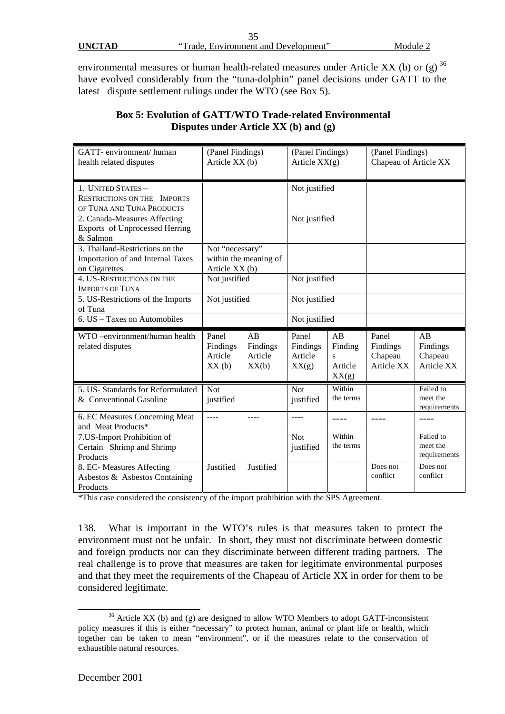| UNCTAD |  |
|--------|--|
|        |  |

environmental measures or human health-related measures under Article XX (b) or  $(g)$ <sup>36</sup> have evolved considerably from the "tuna-dolphin" panel decisions under GATT to the latest dispute settlement rulings under the WTO (see Box 5).

# **Box 5: Evolution of GATT/WTO Trade-related Environmental Disputes under Article XX (b) and (g)**

| GATT- environment/ human<br>health related disputes                                   |                                                            | (Panel Findings)<br>(Panel Findings)<br>Article XX (b)<br>Article $XX(g)$ |                                       | (Panel Findings)<br>Chapeau of Article XX |                                            |                                                |
|---------------------------------------------------------------------------------------|------------------------------------------------------------|---------------------------------------------------------------------------|---------------------------------------|-------------------------------------------|--------------------------------------------|------------------------------------------------|
| 1. UNITED STATES -<br><b>RESTRICTIONS ON THE IMPORTS</b><br>OF TUNA AND TUNA PRODUCTS | Not justified                                              |                                                                           |                                       |                                           |                                            |                                                |
| 2. Canada-Measures Affecting<br>Exports of Unprocessed Herring<br>& Salmon            | Not justified                                              |                                                                           |                                       |                                           |                                            |                                                |
| 3. Thailand-Restrictions on the<br>Importation of and Internal Taxes<br>on Cigarettes | Not "necessary"<br>within the meaning of<br>Article XX (b) |                                                                           |                                       |                                           |                                            |                                                |
| 4. US-RESTRICTIONS ON THE<br><b>IMPORTS OF TUNA</b>                                   | Not justified                                              |                                                                           | Not justified                         |                                           |                                            |                                                |
| 5. US-Restrictions of the Imports<br>of Tuna                                          | Not justified<br>Not justified                             |                                                                           |                                       |                                           |                                            |                                                |
| 6. US - Taxes on Automobiles                                                          |                                                            |                                                                           | Not justified                         |                                           |                                            |                                                |
| WTO -environment/human health<br>related disputes                                     | Panel<br>Findings<br>Article<br>XX <sub>(b)</sub>          | AB<br>Findings<br>Article<br>XX(b)                                        | Panel<br>Findings<br>Article<br>XX(g) | AB<br>Finding<br>S<br>Article<br>XX(g)    | Panel<br>Findings<br>Chapeau<br>Article XX | AB<br>Findings<br>Chapeau<br><b>Article XX</b> |
| 5. US-Standards for Reformulated<br>& Conventional Gasoline                           | <b>Not</b><br>justified                                    |                                                                           | <b>Not</b><br>justified               | Within<br>the terms                       |                                            | Failed to<br>meet the<br>requirements          |
| 6. EC Measures Concerning Meat<br>and Meat Products*                                  | $---$                                                      | ----                                                                      | $---$                                 | $- - - -$                                 | ----                                       | ----                                           |
| 7.US-Import Prohibition of<br>Certain Shrimp and Shrimp<br>Products                   |                                                            |                                                                           | <b>Not</b><br>justified               | Within<br>the terms                       |                                            | Failed to<br>meet the<br>requirements          |
| 8. EC- Measures Affecting<br>Asbestos & Asbestos Containing<br>Products               | Justified                                                  | Justified                                                                 |                                       |                                           | Does not<br>conflict                       | Does not<br>conflict                           |

\*This case considered the consistency of the import prohibition with the SPS Agreement.

138. What is important in the WTO's rules is that measures taken to protect the environment must not be unfair. In short, they must not discriminate between domestic and foreign products nor can they discriminate between different trading partners. The real challenge is to prove that measures are taken for legitimate environmental purposes and that they meet the requirements of the Chapeau of Article XX in order for them to be considered legitimate.

 $36$  Article XX (b) and (g) are designed to allow WTO Members to adopt GATT-inconsistent policy measures if this is either "necessary" to protect human, animal or plant life or health, which together can be taken to mean "environment", or if the measures relate to the conservation of exhaustible natural resources.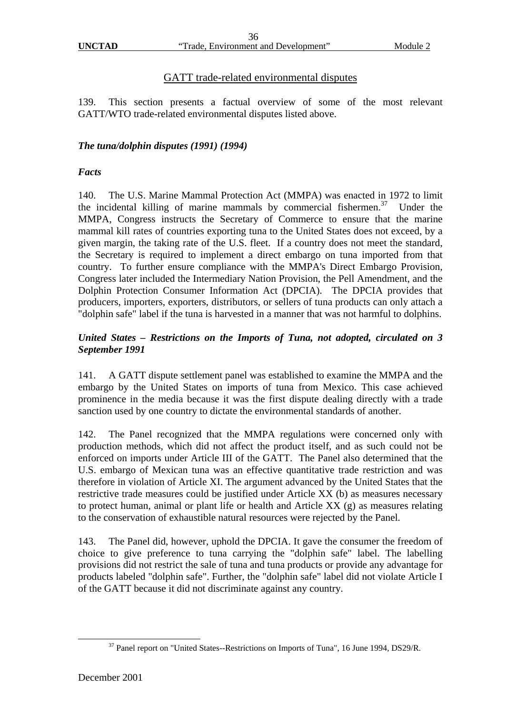# GATT trade-related environmental disputes

139. This section presents a factual overview of some of the most relevant GATT/WTO trade-related environmental disputes listed above.

# *The tuna/dolphin disputes (1991) (1994)*

# *Facts*

140. The U.S. Marine Mammal Protection Act (MMPA) was enacted in 1972 to limit the incidental killing of marine mammals by commercial fishermen.<sup>37</sup> Under the MMPA, Congress instructs the Secretary of Commerce to ensure that the marine mammal kill rates of countries exporting tuna to the United States does not exceed, by a given margin, the taking rate of the U.S. fleet. If a country does not meet the standard, the Secretary is required to implement a direct embargo on tuna imported from that country. To further ensure compliance with the MMPA's Direct Embargo Provision, Congress later included the Intermediary Nation Provision, the Pell Amendment, and the Dolphin Protection Consumer Information Act (DPCIA). The DPCIA provides that producers, importers, exporters, distributors, or sellers of tuna products can only attach a "dolphin safe" label if the tuna is harvested in a manner that was not harmful to dolphins.

# *United States – Restrictions on the Imports of Tuna, not adopted, circulated on 3 September 1991*

141. A GATT dispute settlement panel was established to examine the MMPA and the embargo by the United States on imports of tuna from Mexico. This case achieved prominence in the media because it was the first dispute dealing directly with a trade sanction used by one country to dictate the environmental standards of another.

142. The Panel recognized that the MMPA regulations were concerned only with production methods, which did not affect the product itself, and as such could not be enforced on imports under Article III of the GATT. The Panel also determined that the U.S. embargo of Mexican tuna was an effective quantitative trade restriction and was therefore in violation of Article XI. The argument advanced by the United States that the restrictive trade measures could be justified under Article XX (b) as measures necessary to protect human, animal or plant life or health and Article XX (g) as measures relating to the conservation of exhaustible natural resources were rejected by the Panel.

143. The Panel did, however, uphold the DPCIA. It gave the consumer the freedom of choice to give preference to tuna carrying the "dolphin safe" label. The labelling provisions did not restrict the sale of tuna and tuna products or provide any advantage for products labeled "dolphin safe". Further, the "dolphin safe" label did not violate Article I of the GATT because it did not discriminate against any country.

<sup>&</sup>lt;sup>37</sup> Panel report on "United States--Restrictions on Imports of Tuna", 16 June 1994, DS29/R.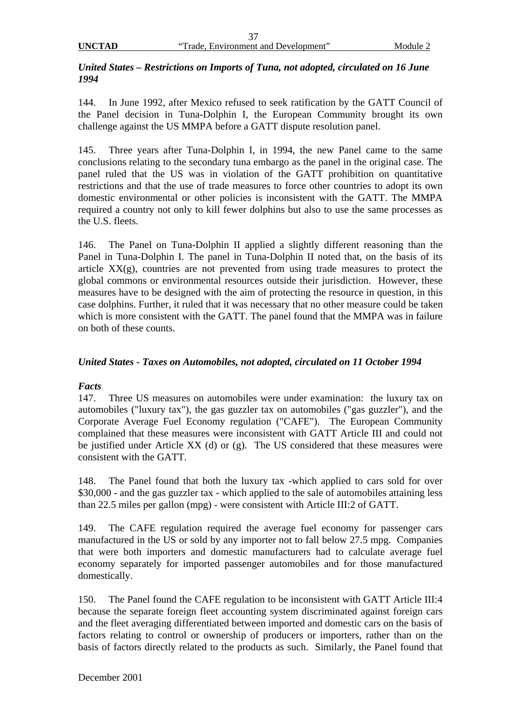# *United States – Restrictions on Imports of Tuna, not adopted, circulated on 16 June 1994*

144. In June 1992, after Mexico refused to seek ratification by the GATT Council of the Panel decision in Tuna-Dolphin I, the European Community brought its own challenge against the US MMPA before a GATT dispute resolution panel.

145. Three years after Tuna-Dolphin I, in 1994, the new Panel came to the same conclusions relating to the secondary tuna embargo as the panel in the original case. The panel ruled that the US was in violation of the GATT prohibition on quantitative restrictions and that the use of trade measures to force other countries to adopt its own domestic environmental or other policies is inconsistent with the GATT. The MMPA required a country not only to kill fewer dolphins but also to use the same processes as the U.S. fleets.

146. The Panel on Tuna-Dolphin II applied a slightly different reasoning than the Panel in Tuna-Dolphin I. The panel in Tuna-Dolphin II noted that, on the basis of its article  $XX(g)$ , countries are not prevented from using trade measures to protect the global commons or environmental resources outside their jurisdiction. However, these measures have to be designed with the aim of protecting the resource in question, in this case dolphins. Further, it ruled that it was necessary that no other measure could be taken which is more consistent with the GATT. The panel found that the MMPA was in failure on both of these counts.

# *United States - Taxes on Automobiles, not adopted, circulated on 11 October 1994*

# *Facts*

147. Three US measures on automobiles were under examination: the luxury tax on automobiles ("luxury tax"), the gas guzzler tax on automobiles ("gas guzzler"), and the Corporate Average Fuel Economy regulation ("CAFE"). The European Community complained that these measures were inconsistent with GATT Article III and could not be justified under Article XX (d) or (g). The US considered that these measures were consistent with the GATT.

148. The Panel found that both the luxury tax -which applied to cars sold for over \$30,000 - and the gas guzzler tax - which applied to the sale of automobiles attaining less than 22.5 miles per gallon (mpg) - were consistent with Article III:2 of GATT.

149. The CAFE regulation required the average fuel economy for passenger cars manufactured in the US or sold by any importer not to fall below 27.5 mpg. Companies that were both importers and domestic manufacturers had to calculate average fuel economy separately for imported passenger automobiles and for those manufactured domestically.

150. The Panel found the CAFE regulation to be inconsistent with GATT Article III:4 because the separate foreign fleet accounting system discriminated against foreign cars and the fleet averaging differentiated between imported and domestic cars on the basis of factors relating to control or ownership of producers or importers, rather than on the basis of factors directly related to the products as such. Similarly, the Panel found that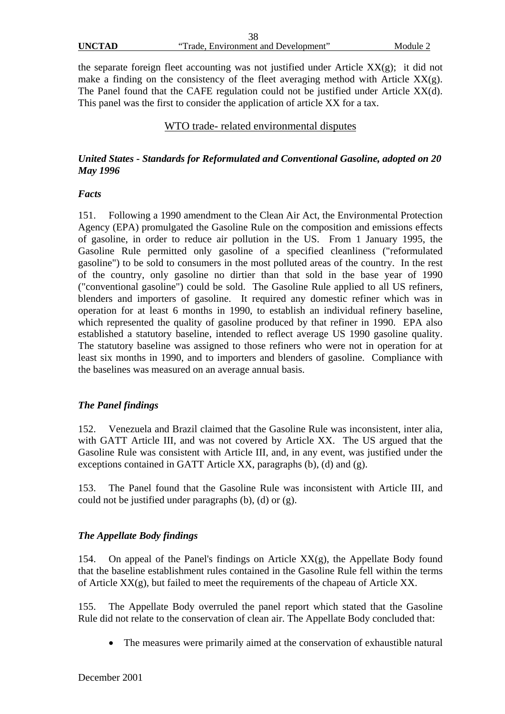| UNCTAD |  |
|--------|--|

the separate foreign fleet accounting was not justified under Article XX(g); it did not make a finding on the consistency of the fleet averaging method with Article  $XX(g)$ . The Panel found that the CAFE regulation could not be justified under Article XX(d). This panel was the first to consider the application of article XX for a tax.

# WTO trade- related environmental disputes

### *United States - Standards for Reformulated and Conventional Gasoline, adopted on 20 May 1996*

### *Facts*

151. Following a 1990 amendment to the Clean Air Act, the Environmental Protection Agency (EPA) promulgated the Gasoline Rule on the composition and emissions effects of gasoline, in order to reduce air pollution in the US. From 1 January 1995, the Gasoline Rule permitted only gasoline of a specified cleanliness ("reformulated gasoline") to be sold to consumers in the most polluted areas of the country. In the rest of the country, only gasoline no dirtier than that sold in the base year of 1990 ("conventional gasoline") could be sold. The Gasoline Rule applied to all US refiners, blenders and importers of gasoline. It required any domestic refiner which was in operation for at least 6 months in 1990, to establish an individual refinery baseline, which represented the quality of gasoline produced by that refiner in 1990. EPA also established a statutory baseline, intended to reflect average US 1990 gasoline quality. The statutory baseline was assigned to those refiners who were not in operation for at least six months in 1990, and to importers and blenders of gasoline. Compliance with the baselines was measured on an average annual basis.

### *The Panel findings*

152. Venezuela and Brazil claimed that the Gasoline Rule was inconsistent, inter alia, with GATT Article III, and was not covered by Article XX. The US argued that the Gasoline Rule was consistent with Article III, and, in any event, was justified under the exceptions contained in GATT Article XX, paragraphs (b), (d) and (g).

153. The Panel found that the Gasoline Rule was inconsistent with Article III, and could not be justified under paragraphs (b), (d) or (g).

### *The Appellate Body findings*

154. On appeal of the Panel's findings on Article  $XX(g)$ , the Appellate Body found that the baseline establishment rules contained in the Gasoline Rule fell within the terms of Article XX(g), but failed to meet the requirements of the chapeau of Article XX.

155. The Appellate Body overruled the panel report which stated that the Gasoline Rule did not relate to the conservation of clean air. The Appellate Body concluded that:

• The measures were primarily aimed at the conservation of exhaustible natural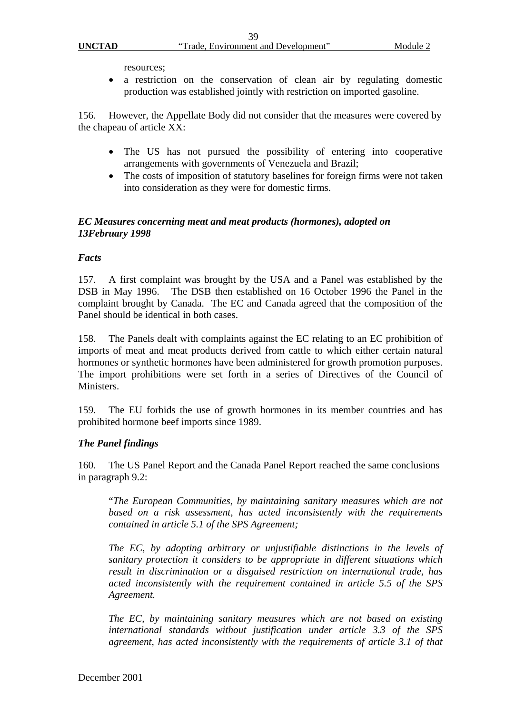| <b>UNCTAD</b> | "Trade, Environment and Development" | Module 2 |
|---------------|--------------------------------------|----------|
|               |                                      |          |

resources;

• a restriction on the conservation of clean air by regulating domestic production was established jointly with restriction on imported gasoline.

156. However, the Appellate Body did not consider that the measures were covered by the chapeau of article XX:

- The US has not pursued the possibility of entering into cooperative arrangements with governments of Venezuela and Brazil;
- The costs of imposition of statutory baselines for foreign firms were not taken into consideration as they were for domestic firms.

## *EC Measures concerning meat and meat products (hormones), adopted on 13February 1998*

*Facts* 

157. A first complaint was brought by the USA and a Panel was established by the DSB in May 1996. The DSB then established on 16 October 1996 the Panel in the complaint brought by Canada. The EC and Canada agreed that the composition of the Panel should be identical in both cases.

158. The Panels dealt with complaints against the EC relating to an EC prohibition of imports of meat and meat products derived from cattle to which either certain natural hormones or synthetic hormones have been administered for growth promotion purposes. The import prohibitions were set forth in a series of Directives of the Council of Ministers.

159. The EU forbids the use of growth hormones in its member countries and has prohibited hormone beef imports since 1989.

### *The Panel findings*

160. The US Panel Report and the Canada Panel Report reached the same conclusions in paragraph 9.2:

"*The European Communities, by maintaining sanitary measures which are not based on a risk assessment, has acted inconsistently with the requirements contained in article 5.1 of the SPS Agreement;* 

*The EC, by adopting arbitrary or unjustifiable distinctions in the levels of sanitary protection it considers to be appropriate in different situations which result in discrimination or a disguised restriction on international trade, has acted inconsistently with the requirement contained in article 5.5 of the SPS Agreement.* 

*The EC, by maintaining sanitary measures which are not based on existing international standards without justification under article 3.3 of the SPS agreement, has acted inconsistently with the requirements of article 3.1 of that*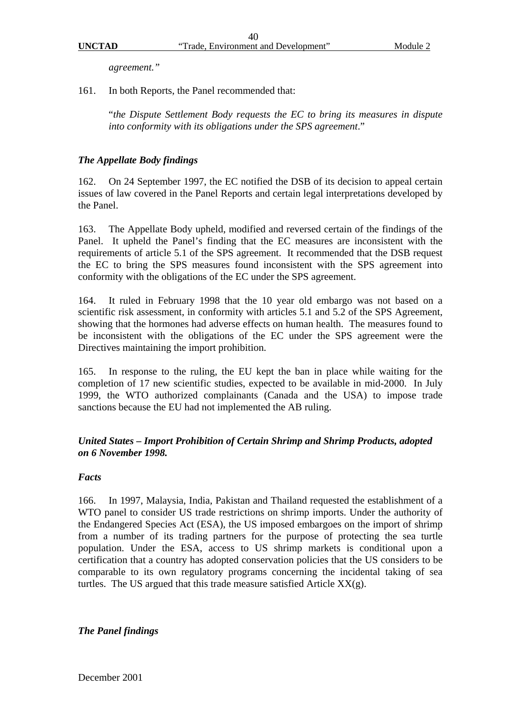*agreement."*

161. In both Reports, the Panel recommended that:

"*the Dispute Settlement Body requests the EC to bring its measures in dispute into conformity with its obligations under the SPS agreement*."

# *The Appellate Body findings*

162. On 24 September 1997, the EC notified the DSB of its decision to appeal certain issues of law covered in the Panel Reports and certain legal interpretations developed by the Panel.

163. The Appellate Body upheld, modified and reversed certain of the findings of the Panel. It upheld the Panel's finding that the EC measures are inconsistent with the requirements of article 5.1 of the SPS agreement. It recommended that the DSB request the EC to bring the SPS measures found inconsistent with the SPS agreement into conformity with the obligations of the EC under the SPS agreement.

164. It ruled in February 1998 that the 10 year old embargo was not based on a scientific risk assessment, in conformity with articles 5.1 and 5.2 of the SPS Agreement, showing that the hormones had adverse effects on human health. The measures found to be inconsistent with the obligations of the EC under the SPS agreement were the Directives maintaining the import prohibition.

165. In response to the ruling, the EU kept the ban in place while waiting for the completion of 17 new scientific studies, expected to be available in mid-2000. In July 1999, the WTO authorized complainants (Canada and the USA) to impose trade sanctions because the EU had not implemented the AB ruling.

## *United States – Import Prohibition of Certain Shrimp and Shrimp Products, adopted on 6 November 1998.*

### *Facts*

166. In 1997, Malaysia, India, Pakistan and Thailand requested the establishment of a WTO panel to consider US trade restrictions on shrimp imports. Under the authority of the Endangered Species Act (ESA), the US imposed embargoes on the import of shrimp from a number of its trading partners for the purpose of protecting the sea turtle population. Under the ESA, access to US shrimp markets is conditional upon a certification that a country has adopted conservation policies that the US considers to be comparable to its own regulatory programs concerning the incidental taking of sea turtles. The US argued that this trade measure satisfied Article  $XX(g)$ .

### *The Panel findings*

December 2001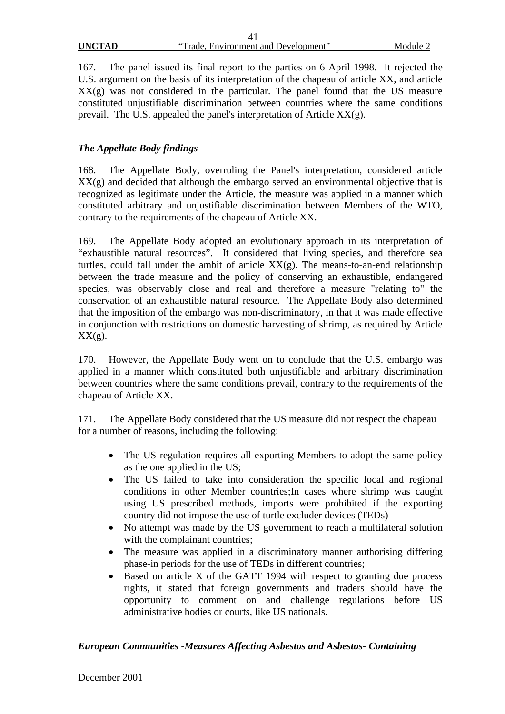| <b>UNCTAD</b> | "Trade, Environment and Development" | Module 2 |
|---------------|--------------------------------------|----------|
|               |                                      |          |

167. The panel issued its final report to the parties on 6 April 1998. It rejected the U.S. argument on the basis of its interpretation of the chapeau of article XX, and article  $XX(g)$  was not considered in the particular. The panel found that the US measure constituted unjustifiable discrimination between countries where the same conditions prevail. The U.S. appealed the panel's interpretation of Article XX(g).

# *The Appellate Body findings*

168. The Appellate Body, overruling the Panel's interpretation, considered article  $XX(g)$  and decided that although the embargo served an environmental objective that is recognized as legitimate under the Article, the measure was applied in a manner which constituted arbitrary and unjustifiable discrimination between Members of the WTO, contrary to the requirements of the chapeau of Article XX.

169. The Appellate Body adopted an evolutionary approach in its interpretation of "exhaustible natural resources". It considered that living species, and therefore sea turtles, could fall under the ambit of article  $XX(g)$ . The means-to-an-end relationship between the trade measure and the policy of conserving an exhaustible, endangered species, was observably close and real and therefore a measure "relating to" the conservation of an exhaustible natural resource. The Appellate Body also determined that the imposition of the embargo was non-discriminatory, in that it was made effective in conjunction with restrictions on domestic harvesting of shrimp, as required by Article  $XX(g)$ .

170. However, the Appellate Body went on to conclude that the U.S. embargo was applied in a manner which constituted both unjustifiable and arbitrary discrimination between countries where the same conditions prevail, contrary to the requirements of the chapeau of Article XX.

171. The Appellate Body considered that the US measure did not respect the chapeau for a number of reasons, including the following:

- The US regulation requires all exporting Members to adopt the same policy as the one applied in the US;
- The US failed to take into consideration the specific local and regional conditions in other Member countries;In cases where shrimp was caught using US prescribed methods, imports were prohibited if the exporting country did not impose the use of turtle excluder devices (TEDs)
- No attempt was made by the US government to reach a multilateral solution with the complainant countries;
- The measure was applied in a discriminatory manner authorising differing phase-in periods for the use of TEDs in different countries;
- Based on article X of the GATT 1994 with respect to granting due process rights, it stated that foreign governments and traders should have the opportunity to comment on and challenge regulations before US administrative bodies or courts, like US nationals.

# *European Communities -Measures Affecting Asbestos and Asbestos- Containing*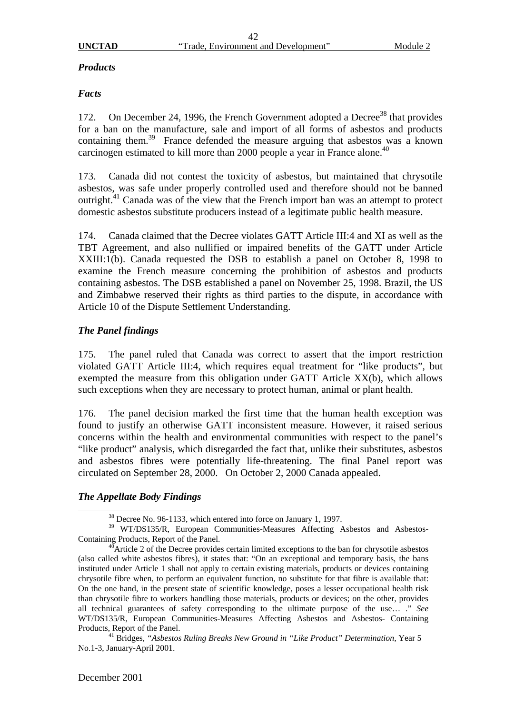### *Products*

### *Facts*

172. On December 24, 1996, the French Government adopted a Decree<sup>38</sup> that provides for a ban on the manufacture, sale and import of all forms of asbestos and products containing them.<sup>39</sup> France defended the measure arguing that asbestos was a known carcinogen estimated to kill more than 2000 people a year in France alone.<sup>40</sup>

173. Canada did not contest the toxicity of asbestos, but maintained that chrysotile asbestos, was safe under properly controlled used and therefore should not be banned outright.41 Canada was of the view that the French import ban was an attempt to protect domestic asbestos substitute producers instead of a legitimate public health measure.

174. Canada claimed that the Decree violates GATT Article III:4 and XI as well as the TBT Agreement, and also nullified or impaired benefits of the GATT under Article XXIII:1(b). Canada requested the DSB to establish a panel on October 8, 1998 to examine the French measure concerning the prohibition of asbestos and products containing asbestos. The DSB established a panel on November 25, 1998. Brazil, the US and Zimbabwe reserved their rights as third parties to the dispute, in accordance with Article 10 of the Dispute Settlement Understanding.

## *The Panel findings*

175. The panel ruled that Canada was correct to assert that the import restriction violated GATT Article III:4, which requires equal treatment for "like products", but exempted the measure from this obligation under GATT Article XX(b), which allows such exceptions when they are necessary to protect human, animal or plant health.

176. The panel decision marked the first time that the human health exception was found to justify an otherwise GATT inconsistent measure. However, it raised serious concerns within the health and environmental communities with respect to the panel's "like product" analysis, which disregarded the fact that, unlike their substitutes, asbestos and asbestos fibres were potentially life-threatening. The final Panel report was circulated on September 28, 2000. On October 2, 2000 Canada appealed.

### *The Appellate Body Findings*

No.1-3, January-April 2001.

 <sup>38</sup> Decree No. 96-1133, which entered into force on January 1, 1997.

<sup>39</sup> WT/DS135/R, European Communities-Measures Affecting Asbestos and Asbestos-

Containing Products, Report of the Panel.<br><sup>40</sup>Article 2 of the Decree provides certain limited exceptions to the ban for chrysotile asbestos (also called white asbestos fibres), it states that: "On an exceptional and temporary basis, the bans instituted under Article 1 shall not apply to certain existing materials, products or devices containing chrysotile fibre when, to perform an equivalent function, no substitute for that fibre is available that: On the one hand, in the present state of scientific knowledge, poses a lesser occupational health risk than chrysotile fibre to workers handling those materials, products or devices; on the other, provides all technical guarantees of safety corresponding to the ultimate purpose of the use… ." *See*  WT/DS135/R, European Communities-Measures Affecting Asbestos and Asbestos- Containing Products, Report of the Panel.<br><sup>41</sup> Bridges, "Asbestos Ruling Breaks New Ground in "Like Product" Determination, Year 5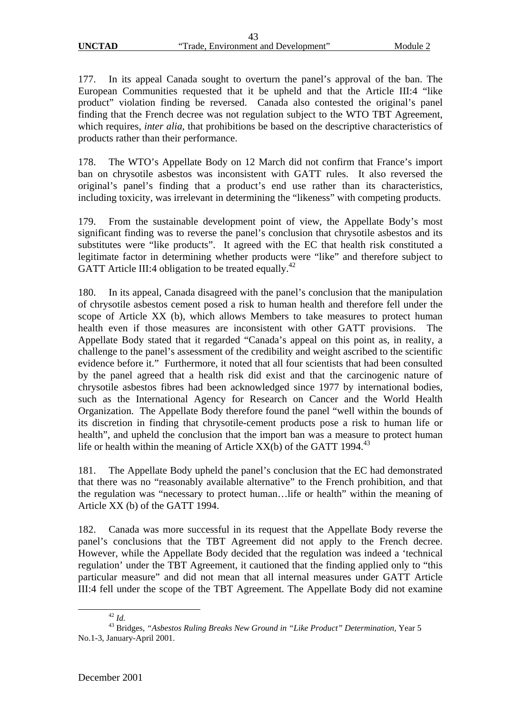177. In its appeal Canada sought to overturn the panel's approval of the ban. The European Communities requested that it be upheld and that the Article III:4 "like product" violation finding be reversed. Canada also contested the original's panel finding that the French decree was not regulation subject to the WTO TBT Agreement, which requires, *inter alia*, that prohibitions be based on the descriptive characteristics of products rather than their performance.

178. The WTO's Appellate Body on 12 March did not confirm that France's import ban on chrysotile asbestos was inconsistent with GATT rules. It also reversed the original's panel's finding that a product's end use rather than its characteristics, including toxicity, was irrelevant in determining the "likeness" with competing products.

179. From the sustainable development point of view, the Appellate Body's most significant finding was to reverse the panel's conclusion that chrysotile asbestos and its substitutes were "like products". It agreed with the EC that health risk constituted a legitimate factor in determining whether products were "like" and therefore subject to GATT Article III:4 obligation to be treated equally.<sup>42</sup>

180. In its appeal, Canada disagreed with the panel's conclusion that the manipulation of chrysotile asbestos cement posed a risk to human health and therefore fell under the scope of Article XX (b), which allows Members to take measures to protect human health even if those measures are inconsistent with other GATT provisions. The Appellate Body stated that it regarded "Canada's appeal on this point as, in reality, a challenge to the panel's assessment of the credibility and weight ascribed to the scientific evidence before it." Furthermore, it noted that all four scientists that had been consulted by the panel agreed that a health risk did exist and that the carcinogenic nature of chrysotile asbestos fibres had been acknowledged since 1977 by international bodies, such as the International Agency for Research on Cancer and the World Health Organization. The Appellate Body therefore found the panel "well within the bounds of its discretion in finding that chrysotile-cement products pose a risk to human life or health", and upheld the conclusion that the import ban was a measure to protect human life or health within the meaning of Article  $XX(b)$  of the GATT 1994.<sup>43</sup>

181. The Appellate Body upheld the panel's conclusion that the EC had demonstrated that there was no "reasonably available alternative" to the French prohibition, and that the regulation was "necessary to protect human…life or health" within the meaning of Article XX (b) of the GATT 1994.

182. Canada was more successful in its request that the Appellate Body reverse the panel's conclusions that the TBT Agreement did not apply to the French decree. However, while the Appellate Body decided that the regulation was indeed a 'technical regulation' under the TBT Agreement, it cautioned that the finding applied only to "this particular measure" and did not mean that all internal measures under GATT Article III:4 fell under the scope of the TBT Agreement. The Appellate Body did not examine

 $42$  *Id.* 

<sup>43</sup> Bridges*, "Asbestos Ruling Breaks New Ground in "Like Product" Determination,* Year 5 No.1-3, January-April 2001.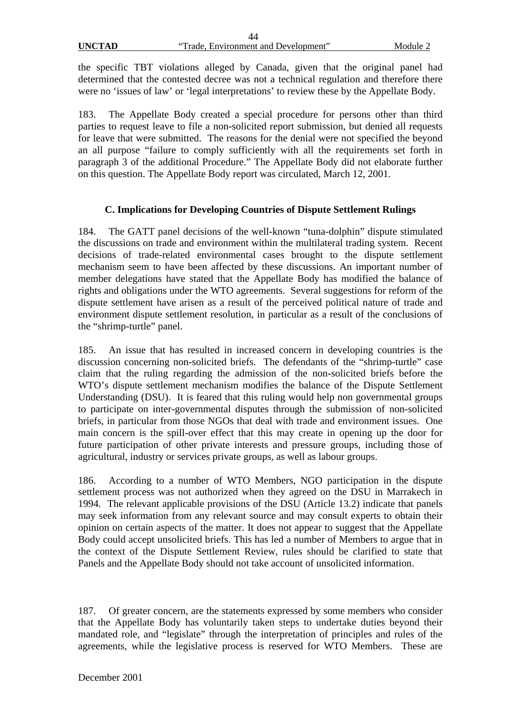| <b>UNCTAD</b> | "Trade, Environment and Development" | Module 2 |
|---------------|--------------------------------------|----------|
|               |                                      |          |

the specific TBT violations alleged by Canada, given that the original panel had determined that the contested decree was not a technical regulation and therefore there were no 'issues of law' or 'legal interpretations' to review these by the Appellate Body.

183. The Appellate Body created a special procedure for persons other than third parties to request leave to file a non-solicited report submission, but denied all requests for leave that were submitted. The reasons for the denial were not specified the beyond an all purpose "failure to comply sufficiently with all the requirements set forth in paragraph 3 of the additional Procedure." The Appellate Body did not elaborate further on this question. The Appellate Body report was circulated, March 12, 2001.

### **C. Implications for Developing Countries of Dispute Settlement Rulings**

184. The GATT panel decisions of the well-known "tuna-dolphin" dispute stimulated the discussions on trade and environment within the multilateral trading system. Recent decisions of trade-related environmental cases brought to the dispute settlement mechanism seem to have been affected by these discussions. An important number of member delegations have stated that the Appellate Body has modified the balance of rights and obligations under the WTO agreements. Several suggestions for reform of the dispute settlement have arisen as a result of the perceived political nature of trade and environment dispute settlement resolution, in particular as a result of the conclusions of the "shrimp-turtle" panel.

185. An issue that has resulted in increased concern in developing countries is the discussion concerning non-solicited briefs. The defendants of the "shrimp-turtle" case claim that the ruling regarding the admission of the non-solicited briefs before the WTO's dispute settlement mechanism modifies the balance of the Dispute Settlement Understanding (DSU). It is feared that this ruling would help non governmental groups to participate on inter-governmental disputes through the submission of non-solicited briefs*,* in particular from those NGOs that deal with trade and environment issues. One main concern is the spill-over effect that this may create in opening up the door for future participation of other private interests and pressure groups, including those of agricultural, industry or services private groups, as well as labour groups.

186. According to a number of WTO Members, NGO participation in the dispute settlement process was not authorized when they agreed on the DSU in Marrakech in 1994. The relevant applicable provisions of the DSU (Article 13.2) indicate that panels may seek information from any relevant source and may consult experts to obtain their opinion on certain aspects of the matter. It does not appear to suggest that the Appellate Body could accept unsolicited briefs. This has led a number of Members to argue that in the context of the Dispute Settlement Review, rules should be clarified to state that Panels and the Appellate Body should not take account of unsolicited information.

187. Of greater concern, are the statements expressed by some members who consider that the Appellate Body has voluntarily taken steps to undertake duties beyond their mandated role, and "legislate" through the interpretation of principles and rules of the agreements, while the legislative process is reserved for WTO Members. These are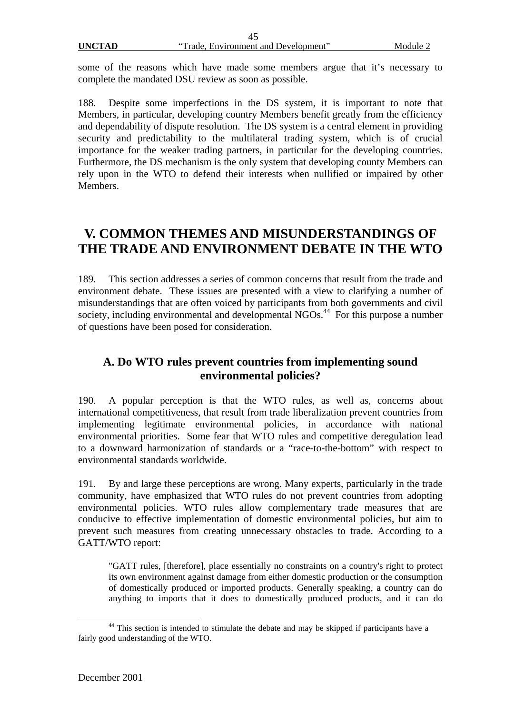some of the reasons which have made some members argue that it's necessary to complete the mandated DSU review as soon as possible.

188. Despite some imperfections in the DS system, it is important to note that Members, in particular, developing country Members benefit greatly from the efficiency and dependability of dispute resolution. The DS system is a central element in providing security and predictability to the multilateral trading system, which is of crucial importance for the weaker trading partners, in particular for the developing countries. Furthermore, the DS mechanism is the only system that developing county Members can rely upon in the WTO to defend their interests when nullified or impaired by other Members.

# **V. COMMON THEMES AND MISUNDERSTANDINGS OF THE TRADE AND ENVIRONMENT DEBATE IN THE WTO**

189. This section addresses a series of common concerns that result from the trade and environment debate. These issues are presented with a view to clarifying a number of misunderstandings that are often voiced by participants from both governments and civil society, including environmental and developmental NGOs.<sup>44</sup> For this purpose a number of questions have been posed for consideration.

# **A. Do WTO rules prevent countries from implementing sound environmental policies?**

190. A popular perception is that the WTO rules, as well as, concerns about international competitiveness, that result from trade liberalization prevent countries from implementing legitimate environmental policies, in accordance with national environmental priorities. Some fear that WTO rules and competitive deregulation lead to a downward harmonization of standards or a "race-to-the-bottom" with respect to environmental standards worldwide.

191. By and large these perceptions are wrong. Many experts, particularly in the trade community, have emphasized that WTO rules do not prevent countries from adopting environmental policies. WTO rules allow complementary trade measures that are conducive to effective implementation of domestic environmental policies, but aim to prevent such measures from creating unnecessary obstacles to trade. According to a GATT/WTO report:

"GATT rules, [therefore], place essentially no constraints on a country's right to protect its own environment against damage from either domestic production or the consumption of domestically produced or imported products. Generally speaking, a country can do anything to imports that it does to domestically produced products, and it can do

<sup>&</sup>lt;sup>44</sup> This section is intended to stimulate the debate and may be skipped if participants have a fairly good understanding of the WTO.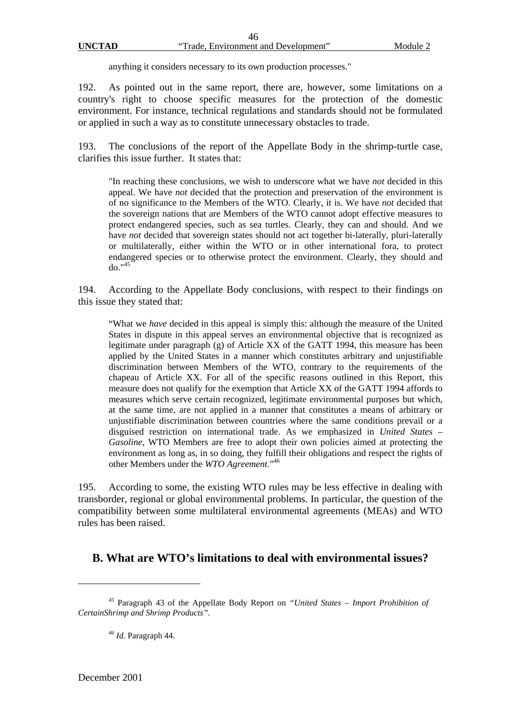anything it considers necessary to its own production processes."

192. As pointed out in the same report, there are, however, some limitations on a country's right to choose specific measures for the protection of the domestic environment. For instance, technical regulations and standards should not be formulated or applied in such a way as to constitute unnecessary obstacles to trade.

193. The conclusions of the report of the Appellate Body in the shrimp-turtle case, clarifies this issue further. It states that:

"In reaching these conclusions, we wish to underscore what we have *not* decided in this appeal. We have *not* decided that the protection and preservation of the environment is of no significance to the Members of the WTO. Clearly, it is. We have *not* decided that the sovereign nations that are Members of the WTO cannot adopt effective measures to protect endangered species, such as sea turtles. Clearly, they can and should. And we have *not* decided that sovereign states should not act together bi-laterally, pluri-laterally or multilaterally, either within the WTO or in other international fora, to protect endangered species or to otherwise protect the environment. Clearly, they should and do."<sup>45</sup>

194. According to the Appellate Body conclusions, with respect to their findings on this issue they stated that:

"What we *have* decided in this appeal is simply this: although the measure of the United States in dispute in this appeal serves an environmental objective that is recognized as legitimate under paragraph (g) of Article XX of the GATT 1994, this measure has been applied by the United States in a manner which constitutes arbitrary and unjustifiable discrimination between Members of the WTO, contrary to the requirements of the chapeau of Article XX. For all of the specific reasons outlined in this Report, this measure does not qualify for the exemption that Article XX of the GATT 1994 affords to measures which serve certain recognized, legitimate environmental purposes but which, at the same time, are not applied in a manner that constitutes a means of arbitrary or unjustifiable discrimination between countries where the same conditions prevail or a disguised restriction on international trade. As we emphasized in *United States – Gasoline*, WTO Members are free to adopt their own policies aimed at protecting the environment as long as, in so doing, they fulfill their obligations and respect the rights of other Members under the *WTO Agreement*."46

195. According to some, the existing WTO rules may be less effective in dealing with transborder, regional or global environmental problems. In particular, the question of the compatibility between some multilateral environmental agreements (MEAs) and WTO rules has been raised.

# **B. What are WTO's limitations to deal with environmental issues?**

l

*<sup>45</sup>* Paragraph 43 of the Appellate Body Report on *"United States – Import Prohibition of CertainShrimp and Shrimp Products".* 

*<sup>46</sup> Id.* Paragraph 44.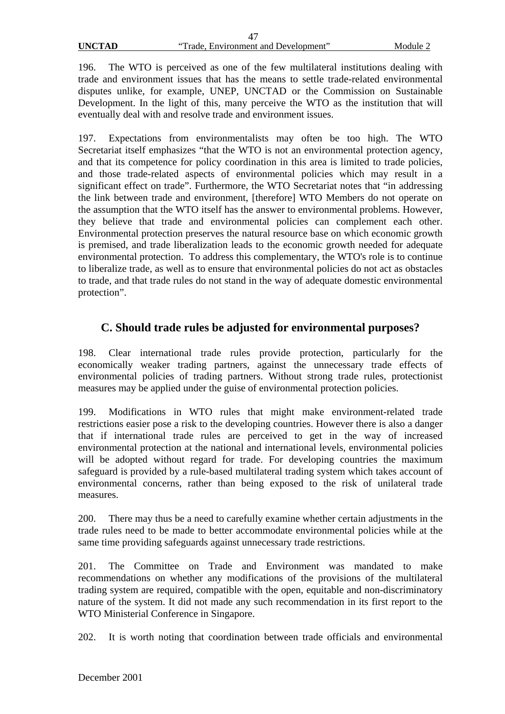| UNCTAD | "Trade, Environment and Development" | Module 2 |
|--------|--------------------------------------|----------|
|        |                                      |          |

196. The WTO is perceived as one of the few multilateral institutions dealing with trade and environment issues that has the means to settle trade-related environmental disputes unlike, for example, UNEP, UNCTAD or the Commission on Sustainable Development. In the light of this, many perceive the WTO as the institution that will eventually deal with and resolve trade and environment issues.

197. Expectations from environmentalists may often be too high. The WTO Secretariat itself emphasizes "that the WTO is not an environmental protection agency, and that its competence for policy coordination in this area is limited to trade policies, and those trade-related aspects of environmental policies which may result in a significant effect on trade". Furthermore, the WTO Secretariat notes that "in addressing the link between trade and environment, [therefore] WTO Members do not operate on the assumption that the WTO itself has the answer to environmental problems. However, they believe that trade and environmental policies can complement each other. Environmental protection preserves the natural resource base on which economic growth is premised, and trade liberalization leads to the economic growth needed for adequate environmental protection. To address this complementary, the WTO's role is to continue to liberalize trade, as well as to ensure that environmental policies do not act as obstacles to trade, and that trade rules do not stand in the way of adequate domestic environmental protection".

# **C. Should trade rules be adjusted for environmental purposes?**

198. Clear international trade rules provide protection, particularly for the economically weaker trading partners, against the unnecessary trade effects of environmental policies of trading partners. Without strong trade rules, protectionist measures may be applied under the guise of environmental protection policies.

199. Modifications in WTO rules that might make environment-related trade restrictions easier pose a risk to the developing countries. However there is also a danger that if international trade rules are perceived to get in the way of increased environmental protection at the national and international levels, environmental policies will be adopted without regard for trade. For developing countries the maximum safeguard is provided by a rule-based multilateral trading system which takes account of environmental concerns, rather than being exposed to the risk of unilateral trade measures.

200. There may thus be a need to carefully examine whether certain adjustments in the trade rules need to be made to better accommodate environmental policies while at the same time providing safeguards against unnecessary trade restrictions.

201. The Committee on Trade and Environment was mandated to make recommendations on whether any modifications of the provisions of the multilateral trading system are required, compatible with the open, equitable and non-discriminatory nature of the system. It did not made any such recommendation in its first report to the WTO Ministerial Conference in Singapore.

202. It is worth noting that coordination between trade officials and environmental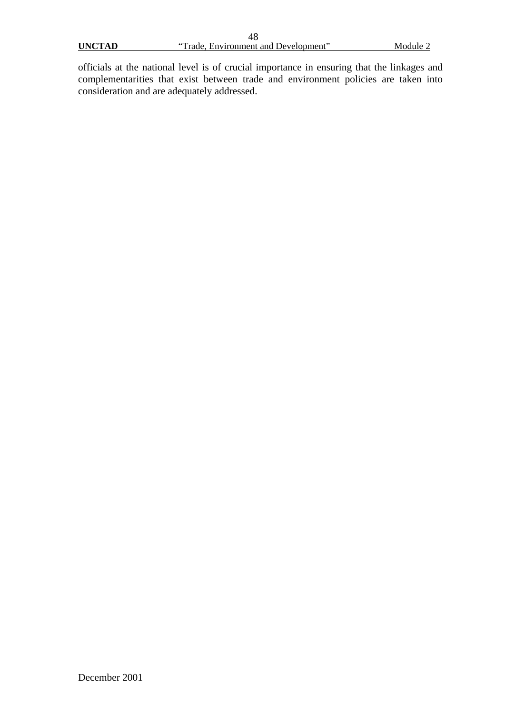| <b>UNCTAD</b> | "Trade, Environment and Development" | Module 2 |
|---------------|--------------------------------------|----------|

officials at the national level is of crucial importance in ensuring that the linkages and complementarities that exist between trade and environment policies are taken into consideration and are adequately addressed.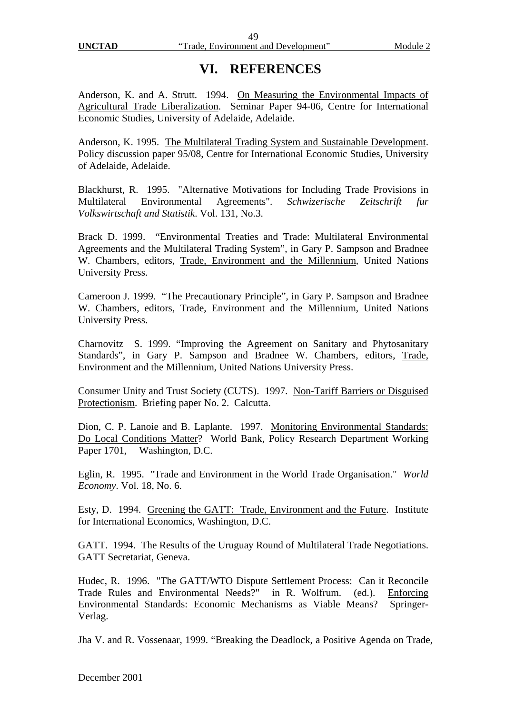# **VI. REFERENCES**

Anderson, K. and A. Strutt. 1994. On Measuring the Environmental Impacts of Agricultural Trade Liberalization. Seminar Paper 94-06, Centre for International Economic Studies, University of Adelaide, Adelaide.

Anderson, K. 1995. The Multilateral Trading System and Sustainable Development. Policy discussion paper 95/08, Centre for International Economic Studies, University of Adelaide, Adelaide.

Blackhurst, R. 1995. "Alternative Motivations for Including Trade Provisions in Multilateral Environmental Agreements". *Schwizerische Zeitschrift fur Volkswirtschaft and Statistik*. Vol. 131, No.3.

Brack D. 1999. "Environmental Treaties and Trade: Multilateral Environmental Agreements and the Multilateral Trading System", in Gary P. Sampson and Bradnee W. Chambers, editors, Trade, Environment and the Millennium, United Nations University Press.

Cameroon J. 1999. "The Precautionary Principle", in Gary P. Sampson and Bradnee W. Chambers, editors, Trade, Environment and the Millennium, United Nations University Press.

Charnovitz S. 1999. "Improving the Agreement on Sanitary and Phytosanitary Standards", in Gary P. Sampson and Bradnee W. Chambers, editors, Trade, Environment and the Millennium, United Nations University Press.

Consumer Unity and Trust Society (CUTS). 1997. Non-Tariff Barriers or Disguised Protectionism. Briefing paper No. 2. Calcutta.

Dion, C. P. Lanoie and B. Laplante. 1997. Monitoring Environmental Standards: Do Local Conditions Matter? World Bank, Policy Research Department Working Paper 1701, Washington, D.C.

Eglin, R. 1995. "Trade and Environment in the World Trade Organisation." *World Economy*. Vol. 18, No. 6.

Esty, D. 1994. Greening the GATT: Trade, Environment and the Future. Institute for International Economics, Washington, D.C.

GATT. 1994. The Results of the Uruguay Round of Multilateral Trade Negotiations. GATT Secretariat, Geneva.

Hudec, R. 1996. "The GATT/WTO Dispute Settlement Process: Can it Reconcile Trade Rules and Environmental Needs?" in R. Wolfrum. (ed.). Enforcing Environmental Standards: Economic Mechanisms as Viable Means? Springer-Verlag.

Jha V. and R. Vossenaar, 1999. "Breaking the Deadlock, a Positive Agenda on Trade,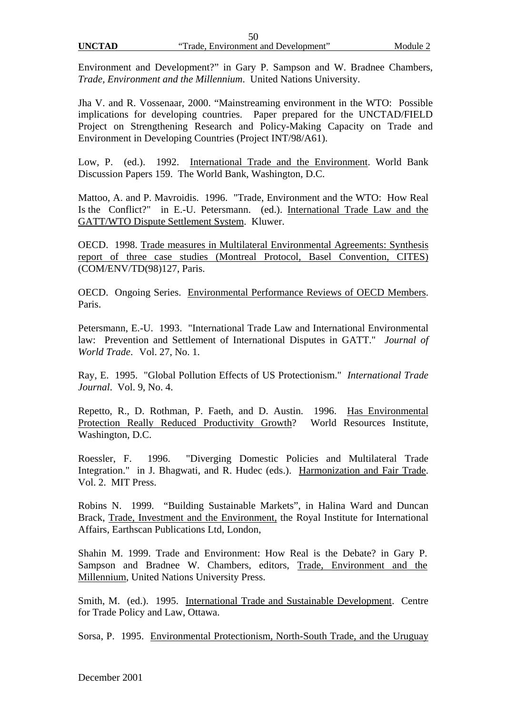Environment and Development?" in Gary P. Sampson and W. Bradnee Chambers, *Trade, Environment and the Millennium*. United Nations University.

Jha V. and R. Vossenaar, 2000. "Mainstreaming environment in the WTO: Possible implications for developing countries. Paper prepared for the UNCTAD/FIELD Project on Strengthening Research and Policy-Making Capacity on Trade and Environment in Developing Countries (Project INT/98/A61).

Low, P. (ed.). 1992. International Trade and the Environment. World Bank Discussion Papers 159. The World Bank, Washington, D.C.

Mattoo, A. and P. Mavroidis. 1996. "Trade, Environment and the WTO: How Real Is the Conflict?" in E.-U. Petersmann. (ed.). International Trade Law and the GATT/WTO Dispute Settlement System. Kluwer.

OECD. 1998. Trade measures in Multilateral Environmental Agreements: Synthesis report of three case studies (Montreal Protocol, Basel Convention, CITES) (COM/ENV/TD(98)127, Paris.

OECD. Ongoing Series. Environmental Performance Reviews of OECD Members. Paris.

Petersmann, E.-U. 1993. "International Trade Law and International Environmental law: Prevention and Settlement of International Disputes in GATT." *Journal of World Trade*. Vol. 27, No. 1.

Ray, E. 1995. "Global Pollution Effects of US Protectionism." *International Trade Journal*. Vol. 9, No. 4.

Repetto, R., D. Rothman, P. Faeth, and D. Austin. 1996. Has Environmental Protection Really Reduced Productivity Growth? World Resources Institute, Washington, D.C.

Roessler, F. 1996. "Diverging Domestic Policies and Multilateral Trade Integration." in J. Bhagwati, and R. Hudec (eds.). Harmonization and Fair Trade. Vol. 2. MIT Press.

Robins N. 1999. "Building Sustainable Markets", in Halina Ward and Duncan Brack, Trade, Investment and the Environment, the Royal Institute for International Affairs, Earthscan Publications Ltd, London,

Shahin M. 1999. Trade and Environment: How Real is the Debate? in Gary P. Sampson and Bradnee W. Chambers, editors, Trade, Environment and the Millennium, United Nations University Press.

Smith, M. (ed.). 1995. International Trade and Sustainable Development. Centre for Trade Policy and Law, Ottawa.

Sorsa, P. 1995. Environmental Protectionism, North-South Trade, and the Uruguay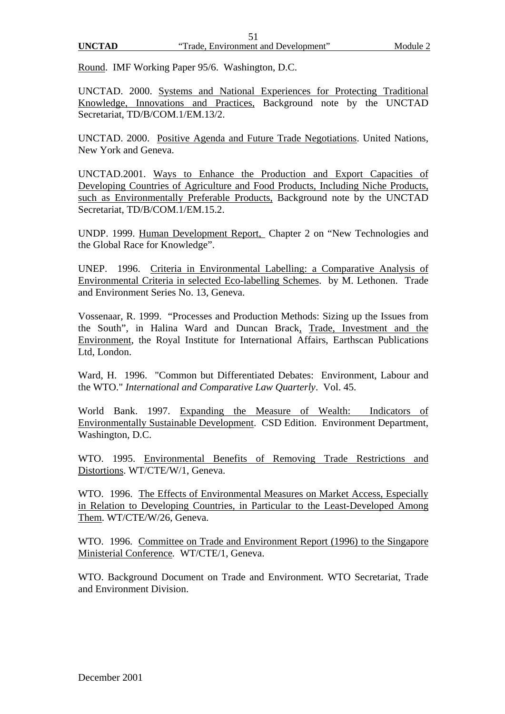Round. IMF Working Paper 95/6. Washington, D.C.

UNCTAD. 2000. Systems and National Experiences for Protecting Traditional Knowledge, Innovations and Practices, Background note by the UNCTAD Secretariat, TD/B/COM.1/EM.13/2.

UNCTAD. 2000. Positive Agenda and Future Trade Negotiations. United Nations, New York and Geneva.

UNCTAD.2001. Ways to Enhance the Production and Export Capacities of Developing Countries of Agriculture and Food Products, Including Niche Products, such as Environmentally Preferable Products, Background note by the UNCTAD Secretariat, TD/B/COM.1/EM.15.2.

UNDP. 1999. Human Development Report, Chapter 2 on "New Technologies and the Global Race for Knowledge".

UNEP. 1996. Criteria in Environmental Labelling: a Comparative Analysis of Environmental Criteria in selected Eco-labelling Schemes. by M. Lethonen. Trade and Environment Series No. 13, Geneva.

Vossenaar, R. 1999. "Processes and Production Methods: Sizing up the Issues from the South", in Halina Ward and Duncan Brack, Trade, Investment and the Environment, the Royal Institute for International Affairs, Earthscan Publications Ltd, London.

Ward, H. 1996. "Common but Differentiated Debates: Environment, Labour and the WTO." *International and Comparative Law Quarterly*. Vol. 45.

World Bank. 1997. Expanding the Measure of Wealth: Indicators of Environmentally Sustainable Development. CSD Edition. Environment Department, Washington, D.C.

WTO. 1995. Environmental Benefits of Removing Trade Restrictions and Distortions. WT/CTE/W/1, Geneva.

WTO. 1996. The Effects of Environmental Measures on Market Access, Especially in Relation to Developing Countries, in Particular to the Least-Developed Among Them. WT/CTE/W/26, Geneva.

WTO. 1996. Committee on Trade and Environment Report (1996) to the Singapore Ministerial Conference*.* WT/CTE/1, Geneva.

WTO. Background Document on Trade and Environment*.* WTO Secretariat, Trade and Environment Division.